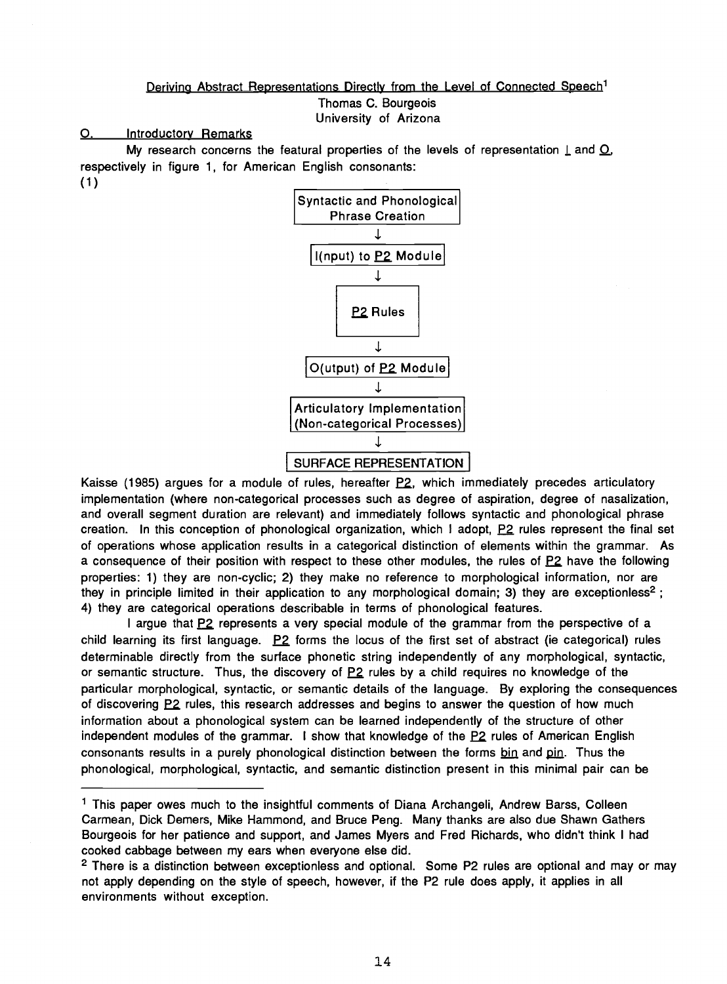# Deriving Abstract Representations Directly from the Level of Connected Speech<sup>1</sup> Thomas C. Bourgeois University of Arizona

O. Introductory Remarks

My research concerns the featural properties of the levels of representation  $\perp$  and  $\Omega$ , respectively in figure 1, for American English consonants: (1)



Kaisse (1985) argues for a module of rules, hereafter P2, which immediately precedes articulatory implementation (where non -categorical processes such as degree of aspiration, degree of nasalization, and overall segment duration are relevant) and immediately follows syntactic and phonological phrase creation. In this conception of phonological organization, which I adopt, P2 rules represent the final set of operations whose application results in a categorical distinction of elements within the grammar. As a consequence of their position with respect to these other modules, the rules of EZ have the following properties: 1) they are non-cyclic; 2) they make no reference to morphological information, nor are they in principle limited in their application to any morphological domain; 3) they are exceptionless<sup>2</sup>; 4) they are categorical operations describable in terms of phonological features.

I argue that P2 represents a very special module of the grammar from the perspective of a child learning its first language.  $P2$  forms the locus of the first set of abstract (ie categorical) rules determinable directly from the surface phonetic string independently of any morphological, syntactic, or semantic structure. Thus, the discovery of  $P2$  rules by a child requires no knowledge of the particular morphological, syntactic, or semantic details of the language. By exploring the consequences of discovering P2 rules, this research addresses and begins to answer the question of how much information about a phonological system can be learned independently of the structure of other independent modules of the grammar. I show that knowledge of the  $P2$  rules of American English consonants results in a purely phonological distinction between the forms bin and pin. Thus the phonological, morphological, syntactic, and semantic distinction present in this minimal pair can be

 $<sup>1</sup>$  This paper owes much to the insightful comments of Diana Archangeli, Andrew Barss, Colleen</sup> Carmean, Dick Demers, Mike Hammond, and Bruce Peng. Many thanks are also due Shawn Gathers Bourgeois for her patience and support, and James Myers and Fred Richards, who didn't think I had cooked cabbage between my ears when everyone else did.

<sup>2</sup> There is a distinction between exceptionless and optional. Some P2 rules are optional and may or may not apply depending on the style of speech, however, if the P2 rule does apply, it applies in all environments without exception.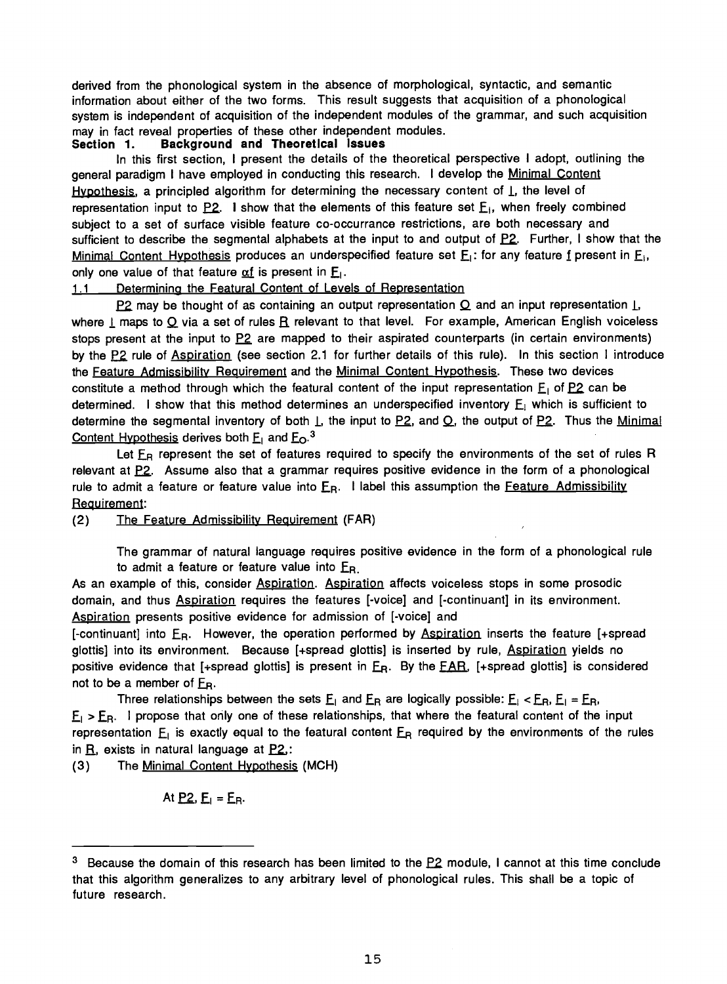derived from the phonological system in the absence of morphological, syntactic, and semantic information about either of the two forms. This result suggests that acquisition of a phonological system is independent of acquisition of the independent modules of the grammar, and such acquisition may in fact reveal properties of these other independent modules.<br>Section 1. Background and Theoretical Issues

### Background and Theoretical Issues

In this first section, I present the details of the theoretical perspective I adopt, outlining the general paradigm I have employed in conducting this research. I develop the Minimal Content Hypothesis, a principled algorithm for determining the necessary content of  $\perp$ , the level of representation input to  $P2$ . I show that the elements of this feature set  $E_1$ , when freely combined subject to a set of surface visible feature co-occurrance restrictions, are both necessary and sufficient to describe the segmental alphabets at the input to and output of P2. Further, I show that the Minimal Content Hypothesis produces an underspecified feature set  $E_1$ : for any feature f present in  $E_1$ , only one value of that feature  $\alpha f$  is present in E.

# 1.1 Determining the Featural Content of Levels of Representation

P2 may be thought of as containing an output representation  $Q$  and an input representation  $\lfloor$ , where  $\underline{I}$  maps to  $\underline{O}$  via a set of rules  $\underline{R}$  relevant to that level. For example, American English voiceless stops present at the input to P2 are mapped to their aspirated counterparts (in certain environments) by the P2 rule of Aspiration (see section 2.1 for further details of this rule). In this section I introduce the Feature Admissibility Requirement and the Minimal Content Hypothesis. These two devices constitute a method through which the featural content of the input representation  $E_1$  of P2 can be determined. I show that this method determines an underspecified inventory  $E<sub>1</sub>$  which is sufficient to determine the segmental inventory of both  $\perp$ , the input to P2, and Q, the output of P2. Thus the Minimal Content Hypothesis derives both  $E_1$  and  $E_0$ .<sup>3</sup>

Let  $E_R$  represent the set of features required to specify the environments of the set of rules R relevant at P.2. Assume also that a grammar requires positive evidence in the form of a phonological rule to admit a feature or feature value into  $E_R$ . I label this assumption the Feature Admissibility Requirement:

(2) The Feature Admissibility Requirement (FAR)

The grammar of natural language requires positive evidence in the form of a phonological rule to admit a feature or feature value into  $E_R$ .

As an example of this, consider Aspiration. Aspiration affects voiceless stops in some prosodic domain, and thus **Aspiration** requires the features [-voice] and [-continuant] in its environment. Aspiration presents positive evidence for admission of [-voice] and

[-continuant] into ER. However, the operation performed by Aspiration inserts the feature [+spread glottis] into its environment. Because [+spread glottis] is inserted by rule, Aspiration yields no positive evidence that [+spread glottis] is present in  $E_R$ . By the FAR, [+spread glottis] is considered not to be a member of  $E_R$ .

Three relationships between the sets  $E_1$  and  $E_R$  are logically possible:  $E_1$  <  $E_R$ ,  $E_1$  =  $E_R$ ,  $E_1$  >  $E_B$ . I propose that only one of these relationships, that where the featural content of the input representation  $E_1$  is exactly equal to the featural content  $E_R$  required by the environments of the rules in  $R$ , exists in natural language at  $P2$ ,:

(3) The Minimal Content Hypothesis (MCH)

At  $P2, E_1 = E_R$ .

 $3$  Because the domain of this research has been limited to the  $P2$  module, I cannot at this time conclude that this algorithm generalizes to any arbitrary level of phonological rules. This shall be a topic of future research.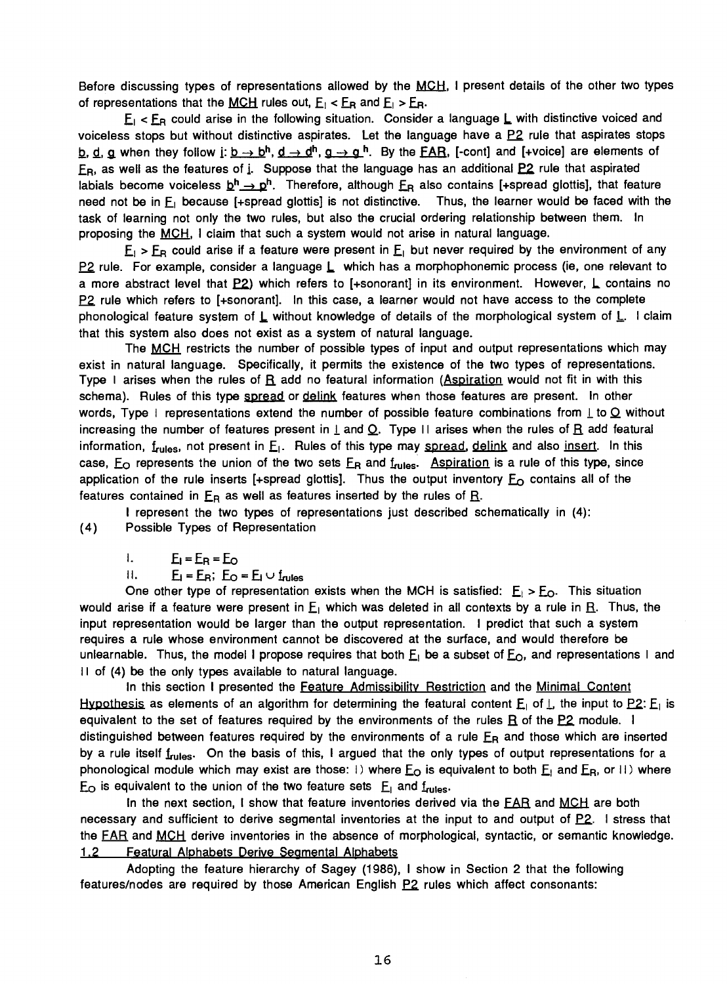Before discussing types of representations allowed by the MCH, I present details of the other two types of representations that the MCH rules out,  $E_i$  <  $E_R$  and  $E_i$  >  $E_R$ .

 $E_1$  <  $E_R$  could arise in the following situation. Consider a language L with distinctive voiced and voiceless stops but without distinctive aspirates. Let the language have a  $P2$  rule that aspirates stops b, d, a when they follow i:  $b \to b^h$ ,  $d \to d^h$ ,  $a \to a^h$ . By the FAR, [-cont] and [+voice] are elements of E<sub>R</sub>, as well as the features of i. Suppose that the language has an additional P2 rule that aspirated labials become voiceless  $\underline{b}^h \rightarrow \underline{p}^h$ . Therefore, although  $\underline{F}_R$  also contains [+spread glottis], that feature need not be in  $E_1$  because [+spread glottis] is not distinctive. Thus, the learner would be faced with the task of learning not only the two rules, but also the crucial ordering relationship between them. In proposing the MCH, I claim that such a system would not arise in natural language.

 $E_1$  >  $E_R$  could arise if a feature were present in  $E_1$  but never required by the environment of any  $P2$  rule. For example, consider a language  $L$  which has a morphophonemic process (ie, one relevant to a more abstract level that  $P2$ ) which refers to [+sonorant] in its environment. However, L contains no  $P2$  rule which refers to [+sonorant]. In this case, a learner would not have access to the complete phonological feature system of  $L$  without knowledge of details of the morphological system of  $L$ . I claim that this system also does not exist as a system of natural language.

The MCH restricts the number of possible types of input and output representations which may exist in natural language. Specifically, it permits the existence of the two types of representations. Type I arises when the rules of  $\underline{R}$  add no featural information (Aspiration would not fit in with this schema). Rules of this type spread or delink features when those features are present. In other words, Type I representations extend the number of possible feature combinations from  $\perp$  to  $\Omega$  without increasing the number of features present in  $\perp$  and Q. Type II arises when the rules of  $\bf{R}$  add featural information,  $f_{\text{rules}}$ , not present in  $E_1$ . Rules of this type may spread, delink and also insert. In this case,  $E_{\text{O}}$  represents the union of the two sets  $E_{\text{R}}$  and  $f_{\text{rules}}$ . Aspiration is a rule of this type, since application of the rule inserts [+spread glottis]. Thus the output inventory  $E_0$  contains all of the features contained in  $E_R$  as well as features inserted by the rules of  $\underline{R}$ .

I represent the two types of representations just described schematically in (4): (4) Possible Types of Representation

 $I.$   $E_I = E_R = E_O$ 

 $II.$   $E_i = E_R$ ;  $E_Q = E_i \cup f_{rules}$ 

One other type of representation exists when the MCH is satisfied:  $E_1 > E_0$ . This situation would arise if a feature were present in  $E_1$  which was deleted in all contexts by a rule in R. Thus, the input representation would be larger than the output representation. I predict that such a system requires a rule whose environment cannot be discovered at the surface, and would therefore be unlearnable. Thus, the model I propose requires that both  $E_1$  be a subset of  $E_0$ , and representations I and  $|1$  of (4) be the only types available to natural language.

In this section I presented the Feature Admissibility Restriction and the Minimal Content Hypothesis as elements of an algorithm for determining the featural content  $E_1$  of  $L$ , the input to P2:  $E_1$  is equivalent to the set of features required by the environments of the rules  $R$  of the  $P2$  module. I distinguished between features required by the environments of a rule  $E_R$  and those which are inserted by a rule itself frules. On the basis of this, I argued that the only types of output representations for a phonological module which may exist are those: I) where  $E_O$  is equivalent to both  $E_I$  and  $E_B$ , or II) where  $E_{\Omega}$  is equivalent to the union of the two feature sets  $E_{\perp}$  and  $f_{\text{miss}}$ .

In the next section, I show that feature inventories derived via the EAR and MCH are both necessary and sufficient to derive segmental inventories at the input to and output of  $P2$ . I stress that the FAR and MCH derive inventories in the absence of morphological, syntactic, or semantic knowledge. 1.2 Featural Alphabets Derive Segmental Alphabets

Adopting the feature hierarchy of Sagey (1986), I show in Section 2 that the following features/nodes are required by those American English P2 rules which affect consonants: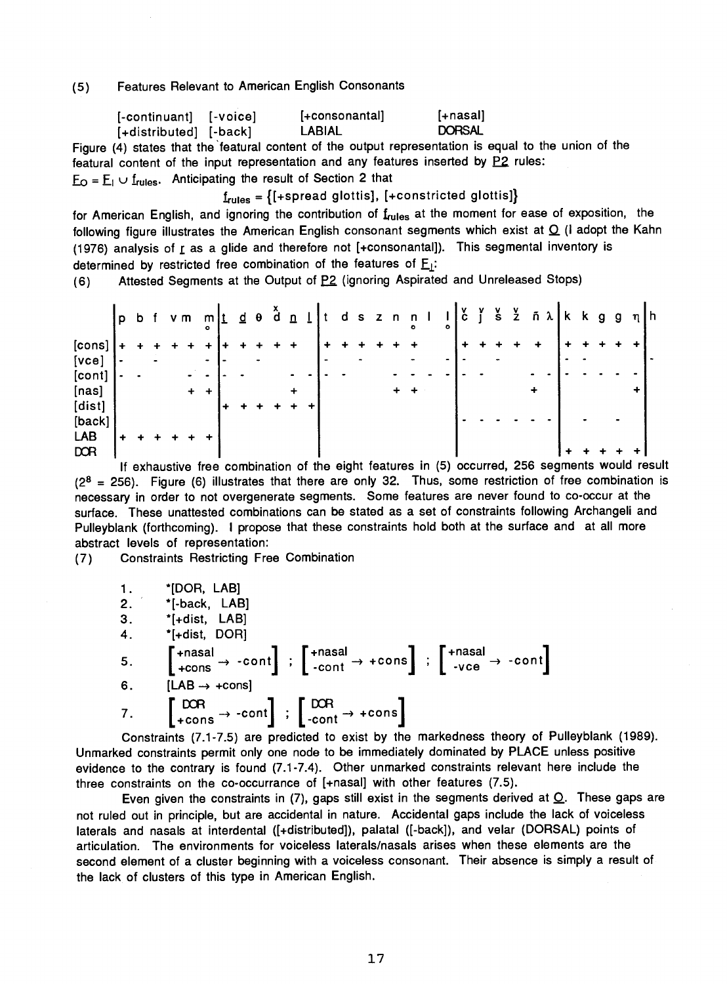(5) Features Relevant to American English Consonants

| [-continuant] [-voice] | [+consonantal] | f+nasall      |
|------------------------|----------------|---------------|
| [+distributed] [-back] | LABIAL         | <b>DORSAL</b> |

Figure (4) states that the 'featural content of the output representation is equal to the union of the featural content of the input representation and any features inserted by  $P2$  rules:  $E_O = E_1 \cup f_{rules}$ . Anticipating the result of Section 2 that

 $f_{rules} = \{[+spread\ glottis], [+constricted\ glottis]\}$ 

for American English, and ignoring the contribution of frules at the moment for ease of exposition, the following figure illustrates the American English consonant segments which exist at  $Q$  (i adopt the Kahn (1976) analysis of  $\underline{r}$  as a glide and therefore not [+consonantal]). This segmental inventory is determined by restricted free combination of the features of  $E_1$ :

(6) Attested Segments at the Output of  $P2$  (ignoring Aspirated and Unreleased Stops)

|        | p         | b              |           |   | vm mt d e d n<br>$\circ$ |   |  |           |  | dsznn |  | $\bullet$ | $\circ$ | $\mathbf{c}$ | $\frac{v}{\sin 2}$ |   | ñ λ k k g            |  | $\mathbf{g}$ | $\eta$   h |  |
|--------|-----------|----------------|-----------|---|--------------------------|---|--|-----------|--|-------|--|-----------|---------|--------------|--------------------|---|----------------------|--|--------------|------------|--|
| [cons] |           |                |           |   |                          |   |  |           |  |       |  |           |         |              |                    | ÷ |                      |  |              |            |  |
| [vec]  | $\bullet$ |                | $\bullet$ |   |                          |   |  |           |  |       |  |           |         |              |                    |   |                      |  |              |            |  |
| [cont] |           | $\blacksquare$ |           |   |                          |   |  | ۰.        |  |       |  |           |         |              |                    |   |                      |  |              |            |  |
| [nas]  |           |                |           | ۰ | ٠                        |   |  | $\ddot{}$ |  |       |  |           |         |              |                    | ۰ |                      |  |              |            |  |
| [dist] |           |                |           |   |                          | ۰ |  |           |  |       |  |           |         |              |                    |   |                      |  |              |            |  |
| [back] |           |                |           |   |                          |   |  |           |  |       |  |           |         |              |                    |   |                      |  |              |            |  |
| LAB    |           |                |           |   |                          |   |  |           |  |       |  |           |         |              |                    |   |                      |  |              |            |  |
| DOR    |           |                |           |   |                          |   |  |           |  |       |  |           |         |              |                    |   | $\ddot{\phantom{1}}$ |  |              |            |  |

If exhaustive free combination of the eight features in (5) occurred, 256 segments would result  $(2^8 = 256)$ . Figure (6) illustrates that there are only 32. Thus, some restriction of free combination is necessary in order to not overgenerate segments. Some features are never found to co -occur at the surface. These unattested combinations can be stated as a set of constraints following Archangeli and Pulleyblank (forthcoming). I propose that these constraints hold both at the surface and at all more abstract levels of representation:

(7) Constraints Restricting Free Combination

|                 | *[DOR, LAB]                                                                                                                                                                                                                                                                                                               |
|-----------------|---------------------------------------------------------------------------------------------------------------------------------------------------------------------------------------------------------------------------------------------------------------------------------------------------------------------------|
| $\frac{1}{2}$ . | *[-back, LAB]                                                                                                                                                                                                                                                                                                             |
| 3.              | $^*$ [+dist, LAB]                                                                                                                                                                                                                                                                                                         |
| 4.              | *[+dist, DOR]                                                                                                                                                                                                                                                                                                             |
| 5.              | $\left[\begin{array}{ccc} \text{+nasal} \\ \text{+cons} \end{array} \rightarrow \text{--cont} \right]$ ; $\left[\begin{array}{ccc} \text{+nasal} \\ \text{--cont} \end{array} \rightarrow \text{+-cons} \right]$ ; $\left[\begin{array}{ccc} \text{+nasal} \\ \text{--vce} \end{array} \rightarrow \text{--cont} \right]$ |
| 6.              | $[LAB \rightarrow +cons]$                                                                                                                                                                                                                                                                                                 |
| 7.              | $\begin{bmatrix}$ DOR $\rightarrow$ -cont $\end{bmatrix}$ ; $\begin{bmatrix}$ DOR $\rightarrow$ +cons                                                                                                                                                                                                                     |
|                 |                                                                                                                                                                                                                                                                                                                           |

Constraints (7.1 -7.5) are predicted to exist by the markedness theory of Pulleyblank (1989). Unmarked constraints permit only one node to be immediately dominated by PLACE unless positive evidence to the contrary is found (7.1 -7.4). Other unmarked constraints relevant here include the three constraints on the co-occurrance of  $[+$ nasal] with other features  $(7.5)$ .

Even given the constraints in  $(7)$ , gaps still exist in the segments derived at  $Q$ . These gaps are not ruled out in principle, but are accidental in nature. Accidental gaps include the lack of voiceless laterals and nasals at interdental ([+distributed]), palatal ([-back]), and velar (DORSAL) points of articulation. The environments for voiceless laterals/nasals arises when these elements are the second element of a cluster beginning with a voiceless consonant. Their absence is simply a result of the lack of clusters of this type in American English.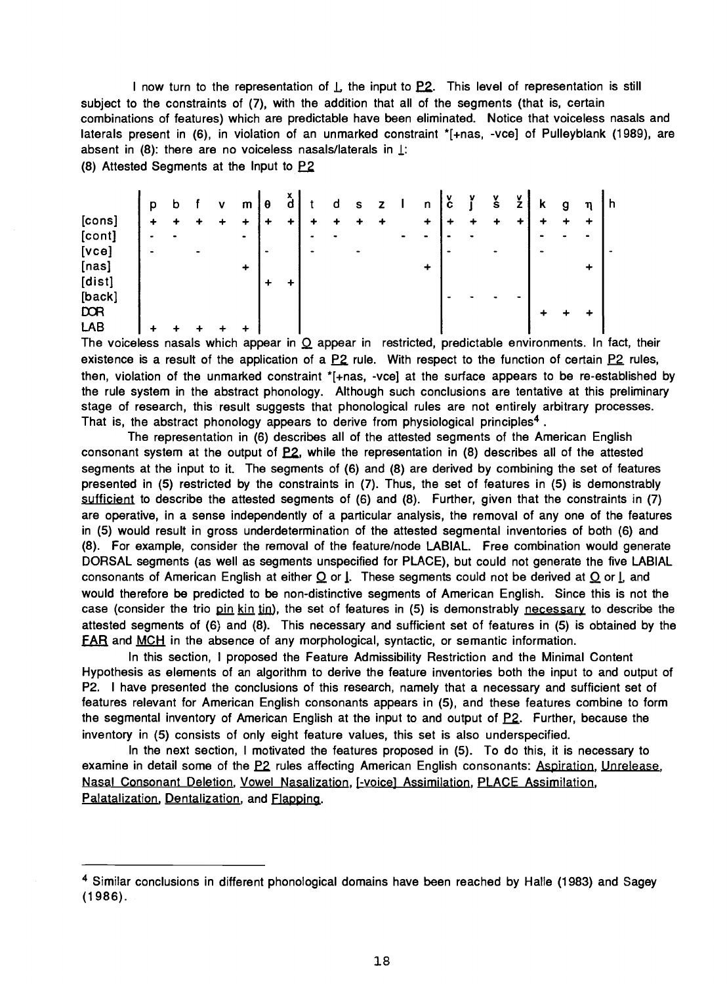I now turn to the representation of  $\perp$ , the input to  $P2$ . This level of representation is still subject to the constraints of (7), with the addition that all of the segments (that is, certain combinations of features) which are predictable have been eliminated. Notice that voiceless nasals and laterals present in (6), in violation of an unmarked constraint \*[+nas, -vce] of Pulleyblank (1989), are absent in (8): there are no voiceless nasals/laterals in  $\perp$ :

(8) Attested Segments at the Input to  $P2$ 

|                 | p |  | m              | θ         | a | d | s         |   |                | n              | v<br>с | v | v<br>s | ۷ | κ | η | - n |
|-----------------|---|--|----------------|-----------|---|---|-----------|---|----------------|----------------|--------|---|--------|---|---|---|-----|
| [cons]          | ٠ |  |                |           | ٠ |   |           | ٠ |                | $\ddotmark$    | ٠      |   |        | ٠ |   | ۰ |     |
| [cont]<br>[vec] | - |  | $\blacksquare$ | $\bullet$ |   |   | $\bullet$ |   | $\blacksquare$ | $\blacksquare$ |        |   |        |   |   |   |     |
| [nas]           |   |  | ٠              |           |   |   |           |   |                | $\ddot{}$      |        |   |        |   |   | + |     |
| [dist]          |   |  |                |           |   |   |           |   |                |                |        |   |        | - |   |   |     |
| [back]<br>DOR   |   |  |                |           |   |   |           |   |                |                |        |   |        |   | ٠ | ∔ |     |
| LAB             |   |  |                |           |   |   |           |   |                |                |        |   |        |   |   |   |     |

The voiceless nasals which appear in  $Q$  appear in restricted, predictable environments. In fact, their existence is a result of the application of a  $P2$  rule. With respect to the function of certain  $P2$  rules, then, violation of the unmarked constraint \*[+nas, -vce] at the surface appears to be re-established by the rule system in the abstract phonology. Although such conclusions are tentative at this preliminary stage of research, this result suggests that phonological rules are not entirely arbitrary processes. That is, the abstract phonology appears to derive from physiological principles<sup>4</sup>.

The representation in (6) describes all of the attested segments of the American English consonant system at the output of E2, while the representation in (8) describes all of the attested segments at the input to it. The segments of (6) and (8) are derived by combining the set of features presented in (5) restricted by the constraints in (7). Thus, the set of features in (5) is demonstrably sufficient to describe the attested segments of (6) and (8). Further, given that the constraints in (7) are operative, in a sense independently of a particular analysis, the removal of any one of the features in (5) would result in gross underdetermination of the attested segmental inventories of both (6) and (8). For example, consider the removal of the feature /node LABIAL. Free combination would generate DORSAL segments (as well as segments unspecified for PLACE), but could not generate the five LABIAL consonants of American English at either  $Q$  or  $I$ . These segments could not be derived at  $Q$  or  $I$ , and would therefore be predicted to be non -distinctive segments of American English. Since this is not the case (consider the trio pin kin tin), the set of features in (5) is demonstrably necessary to describe the attested segments of (6) and (8). This necessary and sufficient set of features in (5) is obtained by the FAR and MCH in the absence of any morphological, syntactic, or semantic information.

In this section, I proposed the Feature Admissibility Restriction and the Minimal Content Hypothesis as elements of an algorithm to derive the feature inventories both the input to and output of P2. I have presented the conclusions of this research, namely that a necessary and sufficient set of features relevant for American English consonants appears in (5), and these features combine to form the segmental inventory of American English at the input to and output of P2. Further, because the inventory in (5) consists of only eight feature values, this set is also underspecified.

In the next section, I motivated the features proposed in (5). To do this, it is necessary to examine in detail some of the P2 rules affecting American English consonants: Aspiration, Unrelease, Nasal Consonant Deletion, Vowel Nasalization, j- voice] Assimilation, PLACE Assimilation, Palatalization, Dentalization, and Flapping.

<sup>4</sup> Similar conclusions in different phonological domains have been reached by Halle (1983) and Sagey (1986).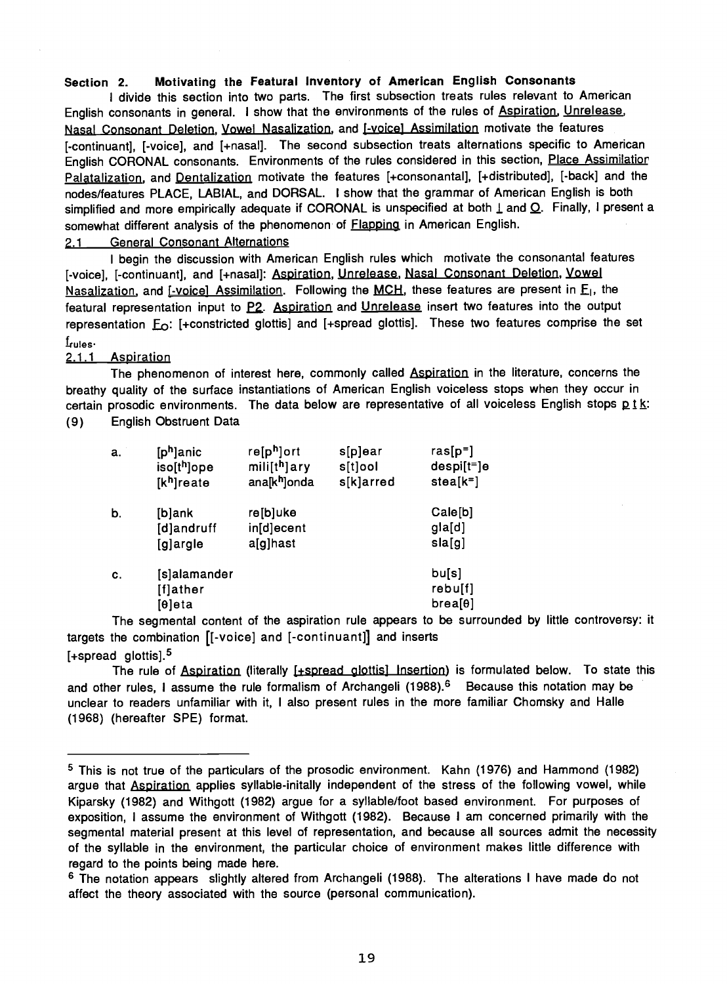# Section 2. Motivating the Featural Inventory of American English Consonants

I divide this section into two parts. The first subsection treats rules relevant to American English consonants in general. I show that the environments of the rules of Aspiration, Unrelease, Nasal Consonant Deletion, Vowel Nasalization, and [-voice] Assimilation motivate the features [-continuant], [-voice], and [+nasal]. The second subsection treats alternations specific to American English CORONAL consonants. Environments of the rules considered in this section, Place Assimilatior Palatalization, and Dentalization motivate the features [+consonantal], [+distributed], [-back] and the nodes/features PLACE, LABIAL, and DORSAL. I show that the grammar of American English is both simplified and more empirically adequate if CORONAL is unspecified at both  $\perp$  and  $\Omega$ . Finally, I present a somewhat different analysis of the phenomenon of **Flapping** in American English.

# ?.1 General Consonant Alternations

I begin the discussion with American English rules which motivate the consonantal features [-voice], [-continuant], and [+nasal]: Aspiration, Unrelease, Nasal Consonant Deletion, Vowel Nasalization, and [-voice] Assimilation. Following the MCH, these features are present in E<sub>1</sub>, the featural representation input to P2. Aspiration and Unrelease insert two features into the output representation  $E_0$ : [+constricted glottis] and [+spread glottis]. These two features comprise the set  $f_{\rm rules}$ -

# 2.1.1 Aspiration

The phenomenon of interest here, commonly called Aspiration in the literature, concerns the breathy quality of the surface instantiations of American English voiceless stops when they occur in certain prosodic environments. The data below are representative of all voiceless English stops  $p_1 k$ :

(9) English Obstruent Data

| a. | $[p^h]$ anic<br>iso[t <sup>h</sup> ]ope<br>[k <sup>h</sup> ]reate | re[p <sup>h</sup> ]ort<br>mili[t <sup>h</sup> ]ary<br>ana[k <sup>h</sup> ]onda | s[p]ear<br>s[t]ool<br>s[k]arred | $ras[p=]$<br>$despi[t=]e$<br>$stea[k=]$ |
|----|-------------------------------------------------------------------|--------------------------------------------------------------------------------|---------------------------------|-----------------------------------------|
| b. | [b]ank<br>[d]andruff<br>[g]argle                                  | re[b]uke<br>in[d]ecent<br>a[g]hast                                             |                                 | Cale[b]<br>gla[d]<br>sla[g]             |
| C. | [s]alamander<br>[f]ather<br>$[0]$ eta                             |                                                                                |                                 | bufs]<br>rebu[f]<br>brea[0]             |

The segmental content of the aspiration rule appears to be surrounded by little controversy: it targets the combination [[- voice] and [- continuant]] and inserts [+spread glottis].<sup>5</sup>

The rule of Aspiration (literally [+spread glottis] Insertion) is formulated below. To state this and other rules, I assume the rule formalism of Archangeli (1988).<sup>6</sup> Because this notation may be unclear to readers unfamiliar with it, I also present rules in the more familiar Chomsky and Halle (1968) (hereafter SPE) format.

<sup>5</sup> This is not true of the particulars of the prosodic environment. Kahn (1976) and Hammond (1982) argue that Aspiration applies syllable-initally independent of the stress of the following vowel, while Kiparsky (1982) and Withgott (1982) argue for a syllable/foot based environment. For purposes of exposition, I assume the environment of Withgott (1982). Because I am concerned primarily with the segmental material present at this level of representation, and because all sources admit the necessity of the syllable in the environment, the particular choice of environment makes little difference with regard to the points being made here.

<sup>6</sup> The notation appears slightly altered from Archangeli (1988). The alterations I have made do not affect the theory associated with the source (personal communication).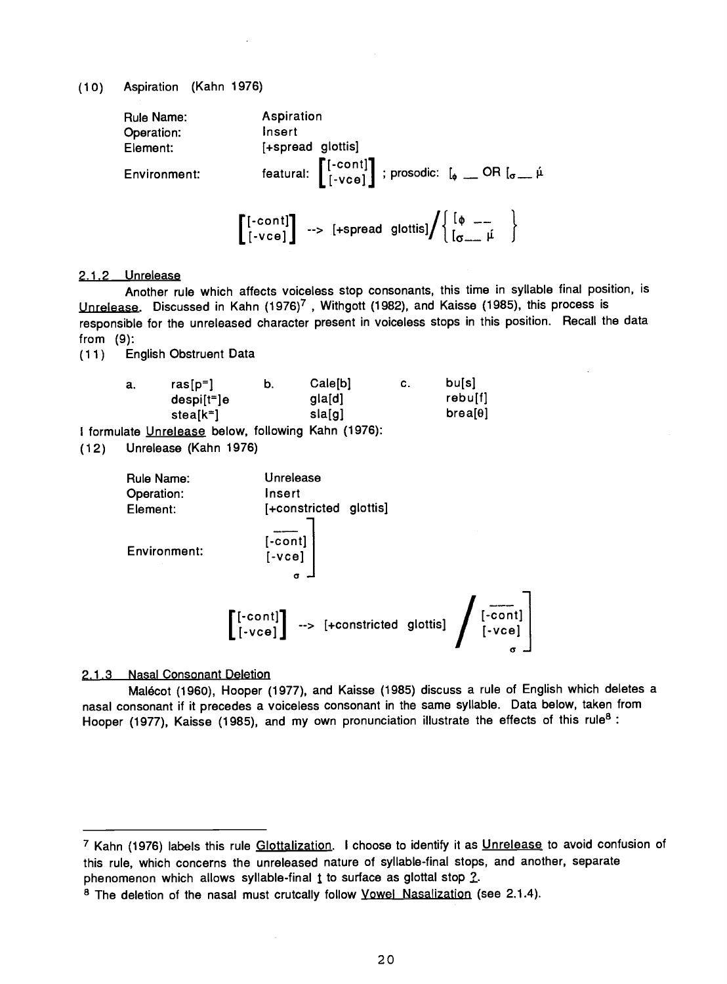(1 0) Aspiration (Kahn 1976)

Rule Name: Aspiration Operation: Insert Element: [+spread glottis] Environment: featural:  $\left[\begin{smallmatrix}[-\text{cont}] \[-\text{vect}] \[-\text{vec}] \end{smallmatrix}\right]$  ; prosodic:  $\left[\begin{smallmatrix} \mathfrak{o} & \mathfrak{o} \end{smallmatrix}\right]$  OR  $\left[\begin{smallmatrix} \mathfrak{o}-\mathfrak{u} \end{smallmatrix}\right]$  $\left[\begin{matrix}[-\text{cont}]\\[-\text{vec}]\end{matrix}\right] \rightarrow [+\text{spread glottis}]\Bigg/\left\{\begin{matrix}[\phi\text{ -- }\\[\sigma\text{ -- }\mu]\end{matrix}\right\}$ 

# 2.1.2 Unrelease

Another rule which affects voiceless stop consonants, this time in syllable final position, is Unrelease. Discussed in Kahn (1976)<sup>7</sup>, Withgott (1982), and Kaisse (1985), this process is responsible for the unreleased character present in voiceless stops in this position. Recall the data from (9):

(1 1) English Obstruent Data

| ras $[p^=]$ | b.           | Cale[b] | С. | bu[s]   |
|-------------|--------------|---------|----|---------|
|             |              | gla[d]  |    | rebu[f] |
| stea[k=]    |              | sla[g]  |    | breakel |
|             | $despi[t=]e$ |         |    |         |

I formulate Unrelease below, following Kahn (1976):

(1 2) Unrelease (Kahn 1976)

| Rule Name:<br>Operation:<br>Element: | Unrelease<br>Insert<br>[+constricted glottis]                                                                                                                                                              |
|--------------------------------------|------------------------------------------------------------------------------------------------------------------------------------------------------------------------------------------------------------|
| Environment:                         | [-cont]<br>[-vce]<br>$\sigma$                                                                                                                                                                              |
|                                      | $\left[\begin{smallmatrix}[-\text{cont}]\\[-\text{vec}]\end{smallmatrix}\right] \rightarrow [+constrained \text{ glottis}] \left[\begin{smallmatrix}[-\text{cont}]\\[-\text{vec}]\end{smallmatrix}\right]$ |

### 2.1.3 Nasal Consonant Deletion

Malécot (1960), Hooper (1977), and Kaisse (1985) discuss a rule of English which deletes a nasal consonant if it precedes a voiceless consonant in the same syllable. Data below, taken from Hooper (1977), Kaisse (1985), and my own pronunciation illustrate the effects of this rule<sup>8</sup>:

<sup>7</sup> Kahn (1976) labels this rule Glottalization. I choose to identify it as Unrelease to avoid confusion of this rule, which concerns the unreleased nature of syllable -final stops, and another, separate phenomenon which allows syllable-final  *to surface as glottal stop*  $*2*$ *.* 

<sup>&</sup>lt;sup>8</sup> The deletion of the nasal must crutcally follow *Vowel Nasalization* (see 2.1.4).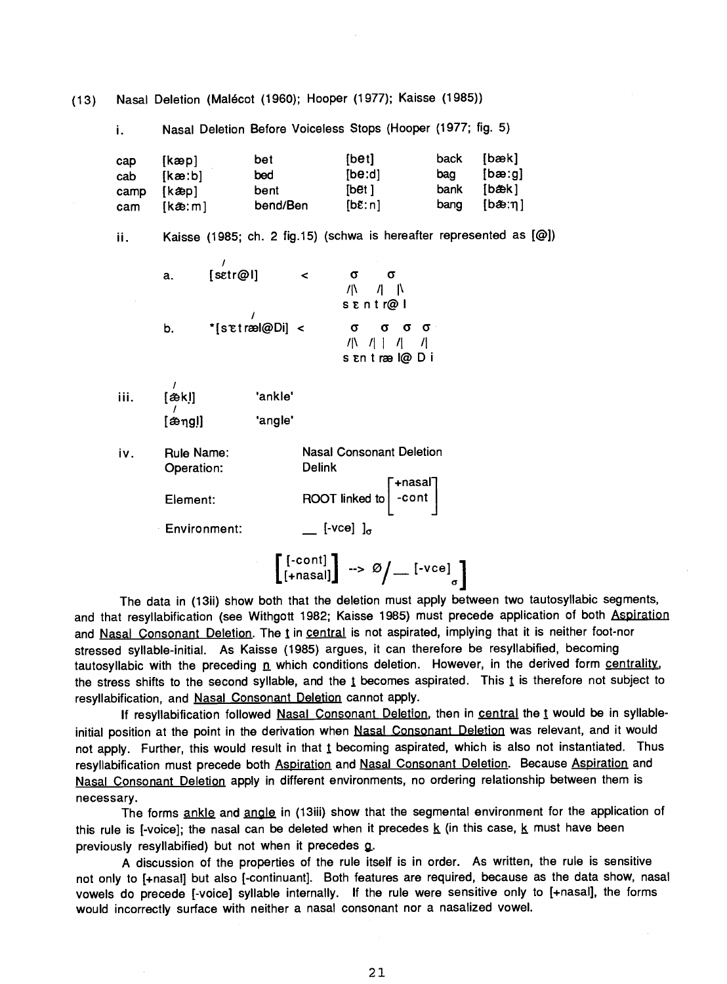i. Nasal Deletion Before Voiceless Stops (Hooper (1977; fig. 5) cap [kæp] bet [bet] back [bæk] cab [kae:b] bed [be:d] bag [bae:g] camp [kænd] bent [bet] bank [bæk] cam [kæ:m] bend/Ben [bɛ̃:n] bang [bæ:η] Kaisse (1985; ch. 2 fig.15) (schwa is hereafter represented as [@]) ii. a. [setr@l] <  $\sigma$   $\sigma$  $/I$  N sEntr@I b.  $*$ [s $\check{\epsilon}$ træl@Di] <  $\sigma$   $\sigma$   $\sigma$   $\sigma$   $\sigma$ /I\ II <sup>I</sup> /I /I sEntrael@Di [ækl] 'ankle' iii. [ængl] 'angle' iv. Rule Name: Nasal Consonant Deletion Delink Operation: ROOT linked to  $\begin{bmatrix} +\text{nasal} \\ -\text{cont} \end{bmatrix}$ Element:  $\equiv$  [-vce]  $\int_{\sigma}$ Environment:  $\left[\begin{smallmatrix} [-\text{cont}] \ [\text{+nasal}] \end{smallmatrix}\right] \rightarrow \varnothing /$   $\left[\begin{smallmatrix} -\text{1-vec}] \ \ \text{1-vec}] \end{smallmatrix}\right]$ 

(13) Nasal Deletion (Malécot (1960); Hooper (1977); Kaisse (1985))

The data in (13ii) show both that the deletion must apply between two tautosyllabic segments, and that resyllabification (see Withgott 1982; Kaisse 1985) must precede application of both Aspiration and Nasal Consonant Deletion. The t in central is not aspirated, implying that it is neither foot-nor stressed syllable-initial. As Kaisse (1985) argues, it can therefore be resyllabified, becoming tautosyllabic with the preceding n which conditions deletion. However, in the derived form centrality, the stress shifts to the second syllable, and the  *becomes aspirated. This*  $*i*$  *is therefore not subject to* resyllabification, and Nasal Consonant Deletion cannot apply.

If resyllabification followed Nasal Consonant Deletion, then in central the t would be in syllableinitial position at the point in the derivation when Nasal Consonant Deletion was relevant, and it would not apply. Further, this would result in that  *becoming aspirated, which is also not instantiated. Thus* resyllabification must precede both Aspiration and Nasal Consonant Deletion. Because Aspiration and Nasal Consonant Deletion apply in different environments, no ordering relationship between them is necessary.

The forms ankle and angle in (13iii) show that the segmental environment for the application of this rule is [-voice]; the nasal can be deleted when it precedes  $\underline{k}$  (in this case,  $\underline{k}$  must have been previously resyllabified) but not when it precedes  $q$ .

A discussion of the properties of the rule itself is in order. As written, the rule is sensitive not only to [+nasal] but also [-continuant]. Both features are required, because as the data show, nasal vowels do precede [-voice] syllable internally. If the rule were sensitive only to [+nasal], the forms would incorrectly surface with neither a nasal consonant nor a nasalized vowel.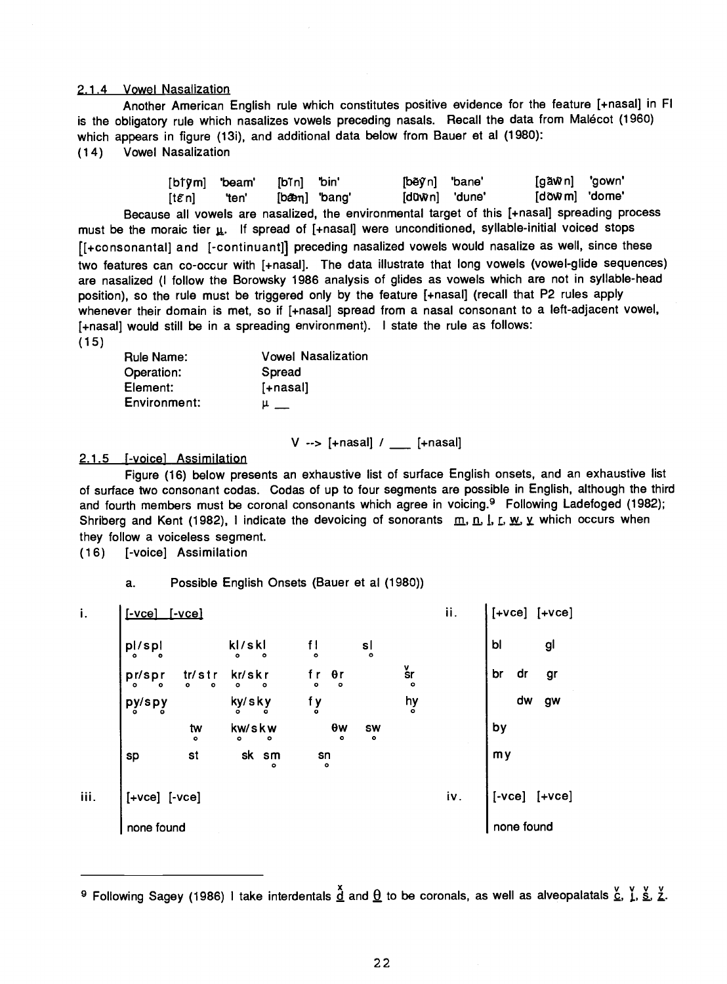#### 2.1.4 Vowel Nasalization

Another American English rule which constitutes positive evidence for the feature [4-nasal] in Fl is the obligatory rule which nasalizes vowels preceding nasals. Recall the data from Malécot (1960) which appears in figure (13i), and additional data below from Bauer et al (1980): (1 4) Vowel Nasalization

|        |       | [btym] 'beam' [bīn] 'bin' | [běỹn] "bane" | [gãŵn] 'gown' |  |
|--------|-------|---------------------------|---------------|---------------|--|
| [tɛ̃n] | 'ten' | [bæm] 'bang'              | [dūŵn] 'dune' | [dõŵm] 'dome' |  |

Because all vowels are nasalized, the environmental target of this [ +nasal] spreading process must be the moraic tier  $\underline{u}$ . If spread of [+nasal] were unconditioned, syllable-initial voiced stops [[+consonantal] and [-continuant]] preceding nasalized vowels would nasalize as well, since these two features can co-occur with [+nasal]. The data illustrate that long vowels (vowel-glide sequences) are nasalized (I follow the Borowsky 1986 analysis of glides as vowels which are not in syllable -head position), so the rule must be triggered only by the feature [+nasal] (recall that P2 rules apply whenever their domain is met, so if [+nasal] spread from a nasal consonant to a left-adjacent vowel, [4-nasal] would still be in a spreading environment). I state the rule as follows: (15)

| Rule Name:   | <b>Vowel Nasalization</b> |
|--------------|---------------------------|
| Operation:   | Spread                    |
| Element:     | [+nasal]                  |
| Environment: |                           |

 $V \rightarrow$  [+nasal] / [+nasal]

### 2.1.5 **[-voice]** Assimilation

Figure (16) below presents an exhaustive list of surface English onsets, and an exhaustive list of surface two consonant codas. Codas of up to four segments are possible in English, although the third and fourth members must be coronal consonants which agree in voicing.<sup>9</sup> Following Ladefoged (1982); Shriberg and Kent (1982), I indicate the devoicing of sonorants  $m, n, l, L, w, \chi$  which occurs when they follow a voiceless segment.

(16) [- voice] Assimilation

a. Possible English Onsets (Bauer et al (1980))

| i.               | $[ -vec]$                 | $I$ -vce]                |                          |                                     |                |                        | ii. | $ $ [+VCe] $ $ +VCe]                                         |
|------------------|---------------------------|--------------------------|--------------------------|-------------------------------------|----------------|------------------------|-----|--------------------------------------------------------------|
|                  | $p^{\dagger}_{\circ}$ spl |                          | k!/skl                   | f I<br>。                            | $\mathsf{s}$   |                        |     | gl<br>b1                                                     |
|                  | $pr$ /spr $\int$          | tr/str<br>$\bullet$<br>۰ | kr/skr<br>۰<br>$\bullet$ | f r<br>。<br>$\theta$ r<br>$\bullet$ |                | $\frac{v}{\text{s}}$ r |     | br<br>dr<br>gr                                               |
|                  | py/spy                    |                          | ky/sky                   | f y                                 |                | hy                     |     | dw<br>gw                                                     |
|                  |                           | tw<br>。                  | kw/skw<br>$\bullet$<br>۰ | 0w<br>$\bullet$                     | <b>SW</b><br>۰ |                        |     | by                                                           |
|                  | sp                        | st                       | sk sm<br>$\circ$         | sn<br>。                             |                |                        |     | my                                                           |
| $\mathbf{iii}$ . | $[+vec]$ $[-vec]$         |                          |                          |                                     |                |                        | iv. | $\begin{bmatrix} -\mathsf{vce} & \mathsf{vce} \end{bmatrix}$ |
|                  | none found                |                          |                          |                                     |                |                        |     | none found                                                   |

<sup>&</sup>lt;sup>9</sup> Following Sagey (1986) I take interdentals  $\frac{\alpha}{2}$  and  $\frac{\alpha}{2}$  to be coronals, as well as alveopalatals  $\frac{\alpha}{2}$ ,  $\frac{\gamma}{2}$ ,  $\frac{\alpha}{2}$ ,  $\frac{\gamma}{2}$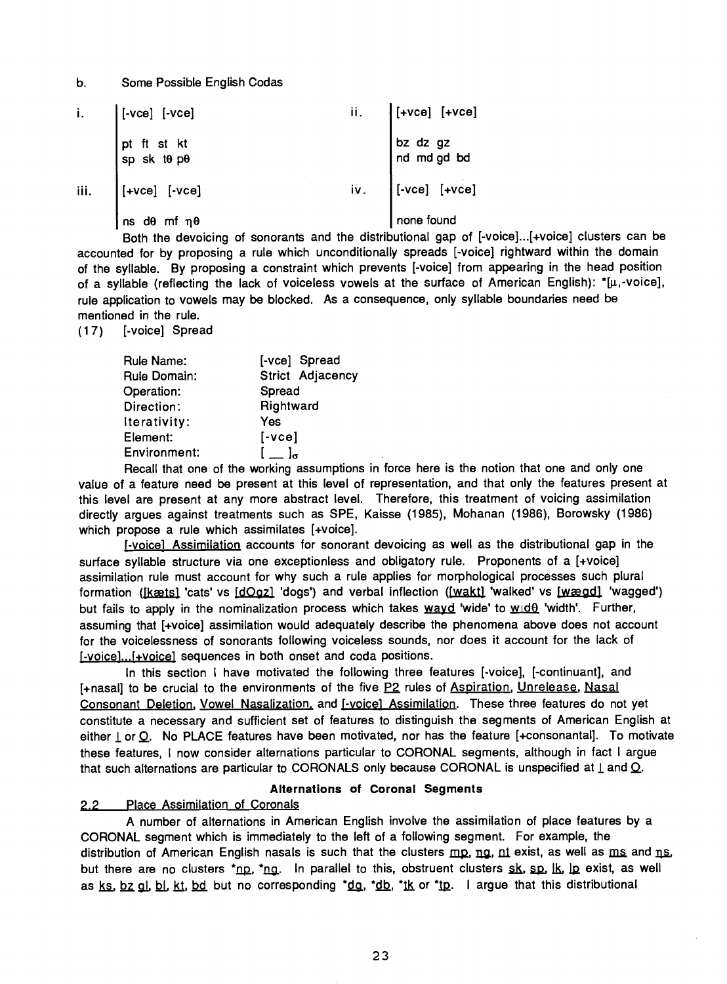### b. Some Possible English Codas

|      | i. $\int [\text{-vec}]$ $[\text{-vec}]$                                                                                                | ii. | $\vert$ [+vce] [+vce]   |
|------|----------------------------------------------------------------------------------------------------------------------------------------|-----|-------------------------|
|      | $\begin{array}{ l } \hline \text{pt} & \text{ft} & \text{st} & \text{kt} \\ \text{sp} & \text{sk} & \text{t0} & \text{p0} \end{array}$ |     | bz dz gz<br>nd md gd bd |
| iii. | $\vert$ [+vce] [-vce]                                                                                                                  | iv. | $\Big $ [-vce] $[+vec]$ |
|      | .<br>Ins dθ mf ηθ                                                                                                                      |     | none found              |

Both the devoicing of sonorants and the distributional gap of [-voice]...[+voice] clusters can be accounted for by proposing a rule which unconditionally spreads [-voice] rightward within the domain of the syllable. By proposing a constraint which prevents [- voice] from appearing in the head position of a syllable (reflecting the lack of voiceless vowels at the surface of American English):  $*(\mu, -voice)$ , rule application to vowels may be blocked. As a consequence, only syllable boundaries need be mentioned in the rule.

#### (17) [- voice] Spread

| Rule Name:   | [-vce] Spread                                                                                                                                                                                                                      |
|--------------|------------------------------------------------------------------------------------------------------------------------------------------------------------------------------------------------------------------------------------|
| Rule Domain: | Strict Adjacency                                                                                                                                                                                                                   |
| Operation:   | Spread                                                                                                                                                                                                                             |
| Direction:   | Rightward                                                                                                                                                                                                                          |
| Iterativity: | Yes                                                                                                                                                                                                                                |
| Element:     | $[\text{-vec}]$                                                                                                                                                                                                                    |
| Environment: | $\begin{bmatrix} 1 & 1 \end{bmatrix}$                                                                                                                                                                                              |
|              | $\bullet$ . The contract of the contract of the contract of the contract of the contract of the contract of the contract of the contract of the contract of the contract of the contract of the contract of the contract of the co |

Recall that one of the working assumptions in force here is the notion that one and only one value of a feature need be present at this level of representation, and that only the features present at this level are present at any more abstract level. Therefore, this treatment of voicing assimilation directly argues against treatments such as SPE, Kaisse (1985), Mohanan (1986), Borowsky (1986) which propose a rule which assimilates [+voice].

j- voice] Assimilation accounts for sonorant devoicing as well as the distributional gap in the surface syllable structure via one exceptionless and obligatory rule. Proponents of a [+voice] assimilation rule must account for why such a rule applies for morphological processes such plural formation ([kæts] 'cats' vs [dOgz] 'dogs') and verbal inflection ([wakt] 'walked' vs [wægd] 'wagged') but fails to apply in the nominalization process which takes  $wayd$  'wide' to  $w/d\theta$  'width'. Further, assuming that [+voice] assimilation would adequately describe the phenomena above does not account for the voicelessness of sonorants following voiceless sounds, nor does it account for the lack of [-voice]...<sup>[</sup>+voice] sequences in both onset and coda positions.

In this section I have motivated the following three features [-voice], [-continuant], and [+nasal] to be crucial to the environments of the five P2 rules of Aspiration, Unrelease, Nasal Consonant Deletion, Vowel Nasalization, and [-voice] Assimilation. These three features do not yet constitute a necessary and sufficient set of features to distinguish the segments of American English at either  $\perp$  or Q. No PLACE features have been motivated, nor has the feature [+consonantal]. To motivate these features, I now consider alternations particular to CORONAL segments, although in fact I argue that such alternations are particular to CORONALS only because CORONAL is unspecified at  $\perp$  and  $\Omega$ .

#### Alternations of Coronal Segments

### 2.2 Place Assimilation of Coronals

A number of alternations in American English involve the assimilation of place features by a CORONAL segment which is immediately to the left of a following segment. For example, the distribution of American English nasals is such that the clusters  $mp$ , ng, nt exist, as well as  $ms$  and  $ns$ . but there are no clusters  $*_{\text{ND}}$ ,  $*_{\text{N}}$ . In parallel to this, obstruent clusters sk, sp,  $\vert$ k,  $\vert$ p exist, as well as ks, bz ql, bl, kt, bd but no corresponding  $dq$ ,  $dq$ ,  $dq$ ,  $dq$ ,  $dq$ ,  $dq$ . I argue that this distributional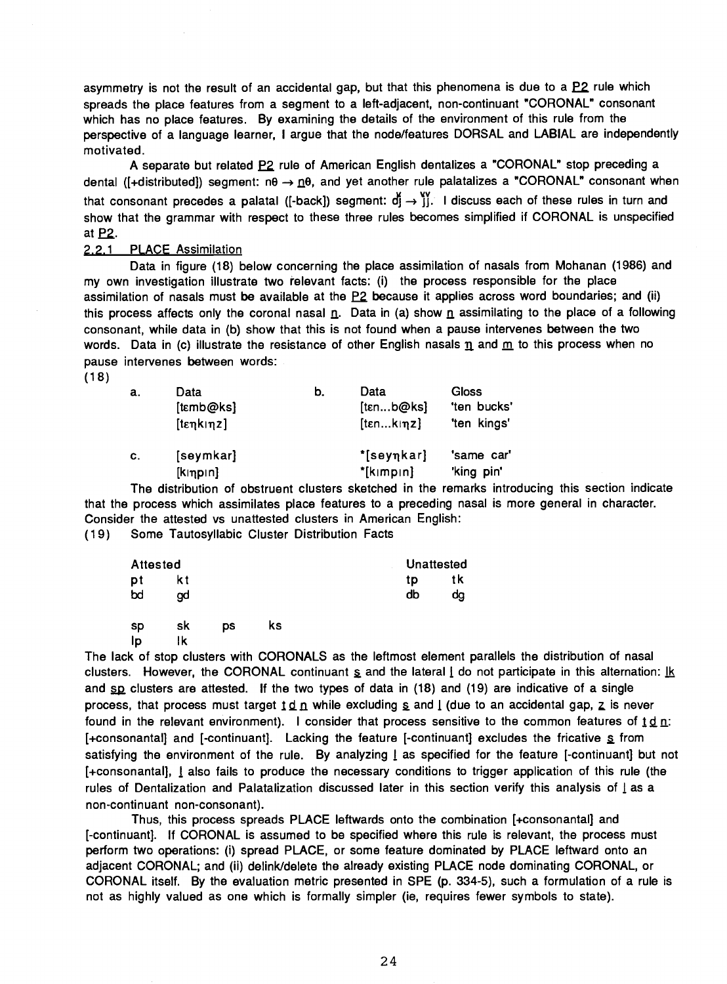asymmetry is not the result of an accidental gap, but that this phenomena is due to a  $P2$  rule which spreads the place features from a segment to a left-adjacent, non-continuant "CORONAL" consonant which has no place features. By examining the details of the environment of this rule from the perspective of a language learner, I argue that the node/features DORSAL and LABIAL are independently motivated.

A separate but related P2 rule of American English dentalizes a "CORONAL" stop preceding a dental ( $\{\pm\text{distributed}\}\$  segment:  $n\theta \rightarrow n\theta$ , and yet another rule palatalizes a "CORONAL" consonant when that consonant precedes a palatal ([-back]) segment:  $d_1 \rightarrow 0$ . I discuss each of these rules in turn and show that the grammar with respect to these three rules becomes simplified if CORONAL is unspecified at P2.

#### 2.2.1 PLACE Assimilation

Data in figure (18) below concerning the place assimilation of nasals from Mohanan (1986) and my own investigation illustrate two relevant facts: (i) the process responsible for the place assimilation of nasals must be available at the P2 because it applies across word boundaries; and (ii) this process affects only the coronal nasal  $n$ . Data in (a) show  $n$  assimilating to the place of a following consonant, while data in (b) show that this is not found when a pause intervenes between the two words. Data in (c) illustrate the resistance of other English nasals  $\underline{n}$  and  $\underline{m}$  to this process when no pause intervenes between words:

(18)

| a. | Data<br>[tɛmb@ks]     | b. | Data<br>[tenb@ks]          | Gloss<br>'ten bucks'     |  |
|----|-----------------------|----|----------------------------|--------------------------|--|
|    | [tenkinz]             |    | [tenkinz]                  | 'ten kings'              |  |
| C. | [seymkar]<br>[k np n] |    | *[seyηkar]<br>$*$ [kɪmpɪn] | 'same car'<br>'king pin' |  |

The distribution of obstruent clusters sketched in the remarks introducing this section indicate that the process which assimilates place features to a preceding nasal is more general in character. Consider the attested vs unattested clusters in American English:

(1 9) Some Tautosyllabic Cluster Distribution Facts

| Attested  |     | Unattested |    |    |    |  |
|-----------|-----|------------|----|----|----|--|
| pt        | k t |            |    | tp | tk |  |
| bd        | gd  |            |    | db | dg |  |
| <b>SD</b> | sk  | DS         | ks |    |    |  |
| Ip        | lk  |            |    |    |    |  |

The lack of stop clusters with CORONALS as the leftmost element parallels the distribution of nasal clusters. However, the CORONAL continuant  $s$  and the lateral  $i$  do not participate in this alternation:  $\underline{\mathbb{R}}$ and  $_{SD}$  clusters are attested. If the two types of data in (18) and (19) are indicative of a single process, that process must target  $\underline{1} d \underline{n}$  while excluding  $\underline{s}$  and  $\underline{l}$  (due to an accidental gap,  $\underline{z}$  is never found in the relevant environment). I consider that process sensitive to the common features of  $\underline{t} \underline{d}$  n: [+consonantal] and [-continuant]. Lacking the feature [-continuant] excludes the fricative  $\leq$  from satisfying the environment of the rule. By analyzing I as specified for the feature [-continuant] but not [ +consonantal], I also fails to produce the necessary conditions to trigger application of this rule (the rules of Dentalization and Palatalization discussed later in this section verify this analysis of I as a non -continuant non -consonant).

Thus, this process spreads PLACE leftwards onto the combination [ +consonantal] and [-continuant]. If CORONAL is assumed to be specified where this rule is relevant, the process must perform two operations: (i) spread PLACE, or some feature dominated by PLACE leftward onto an adjacent CORONAL; and (ii) delink/delete the already existing PLACE node dominating CORONAL, or CORONAL itself. By the evaluation metric presented in SPE (p. 334 -5), such a formulation of a rule is not as highly valued as one which is formally simpler (ie, requires fewer symbols to state).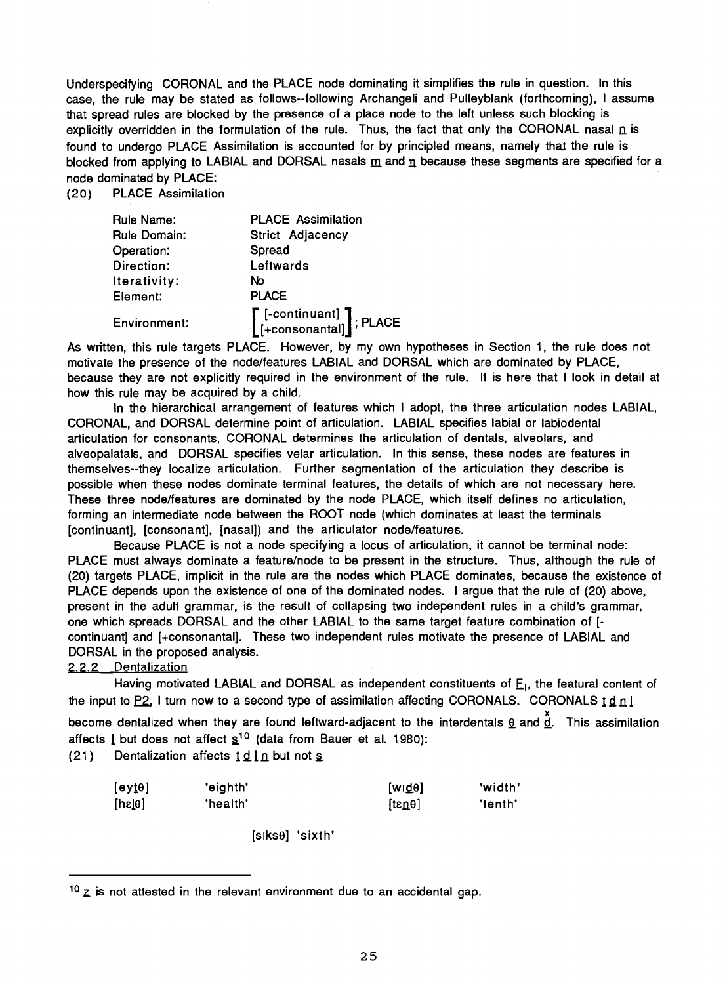Underspecifying CORONAL and the PLACE node dominating it simplifies the rule in question. In this case, the rule may be stated as follows--following Archangeli and Pulleyblank (forthcoming), I assume that spread rules are blocked by the presence of a place node to the left unless such blocking is explicitly overridden in the formulation of the rule. Thus, the fact that only the CORONAL nasal  $\underline{n}$  is found to undergo PLACE Assimilation is accounted for by principled means, namely that the rule is blocked from applying to LABIAL and DORSAL nasals  $\underline{m}$  and  $\underline{n}$  because these segments are specified for a node dominated by PLACE:

(20) PLACE Assimilation

| <b>Rule Name:</b>   | <b>PLACE Assimilation</b>                                                                                          |
|---------------------|--------------------------------------------------------------------------------------------------------------------|
| <b>Rule Domain:</b> | Strict Adjacency                                                                                                   |
| Operation:          | Spread                                                                                                             |
| Direction:          | Leftwards                                                                                                          |
| Iterativity:        | No                                                                                                                 |
| Element:            | <b>PLACE</b>                                                                                                       |
| Environment:        | $\left[\begin{smallmatrix}\texttt{[-continuant]}\\ \texttt{[+consonantal]}\end{smallmatrix}\right];\texttt{PLACE}$ |

As written, this rule targets PLACE. However, by my own hypotheses in Section 1, the rule does not motivate the presence of the node /features LABIAL and DORSAL which are dominated by PLACE, because they are not explicitly required in the environment of the rule. It is here that I look in detail at how this rule may be acquired by a child.

In the hierarchical arrangement of features which I adopt, the three articulation nodes LABIAL, CORONAL, and DORSAL determine point of articulation. LABIAL specifies labial or labiodental articulation for consonants, CORONAL determines the articulation of dentals, alveolars, and alveopalatals, and DORSAL specifies velar articulation. In this sense, these nodes are features in themselves --they localize articulation. Further segmentation of the articulation they describe is possible when these nodes dominate terminal features, the details of which are not necessary here. These three node/features are dominated by the node PLACE, which itself defines no articulation, forming an intermediate node between the ROOT node (which dominates at least the terminals [continuant], [consonant], [nasal]) and the articulator node /features.

Because PLACE is not a node specifying a locus of articulation, it cannot be terminal node: PLACE must always dominate a feature/node to be present in the structure. Thus, although the rule of (20) targets PLACE, implicit in the rule are the nodes which PLACE dominates, because the existence of PLACE depends upon the existence of one of the dominated nodes. I argue that the rule of (20) above, present in the adult grammar, is the result of collapsing two independent rules in a child's grammar, one which spreads DORSAL and the other LABIAL to the same target feature combination of [ continuant] and [+consonantal]. These two independent rules motivate the presence of LABIAL and DORSAL in the proposed analysis.

# 2.2.2 Dentalization

Having motivated LABIAL and DORSAL as independent constituents of  $E<sub>1</sub>$ , the featural content of the input to  $P2$ , I turn now to a second type of assimilation affecting CORONALS. CORONALS  $1 d n l$ 

become dentalized when they are found leftward-adjacent to the interdentals  $\frac{d}{dx}$  and  $\frac{d}{dx}$ . This assimilation affects  $\lfloor$  but does not affect  $\frac{s^{10}}{10}$  (data from Bauer et al. 1980):

(21) Dentalization affects  $\underline{d}$   $\underline{l}$   $\underline{n}$  but not  $\underline{s}$ 

| [eyt0] | 'eighth' | [wd0]          | 'width' |
|--------|----------|----------------|---------|
| [he[0] | 'health' | $[tan \theta]$ | 'tenth' |

[siks9] 'sixth'

 $10$  z is not attested in the relevant environment due to an accidental gap.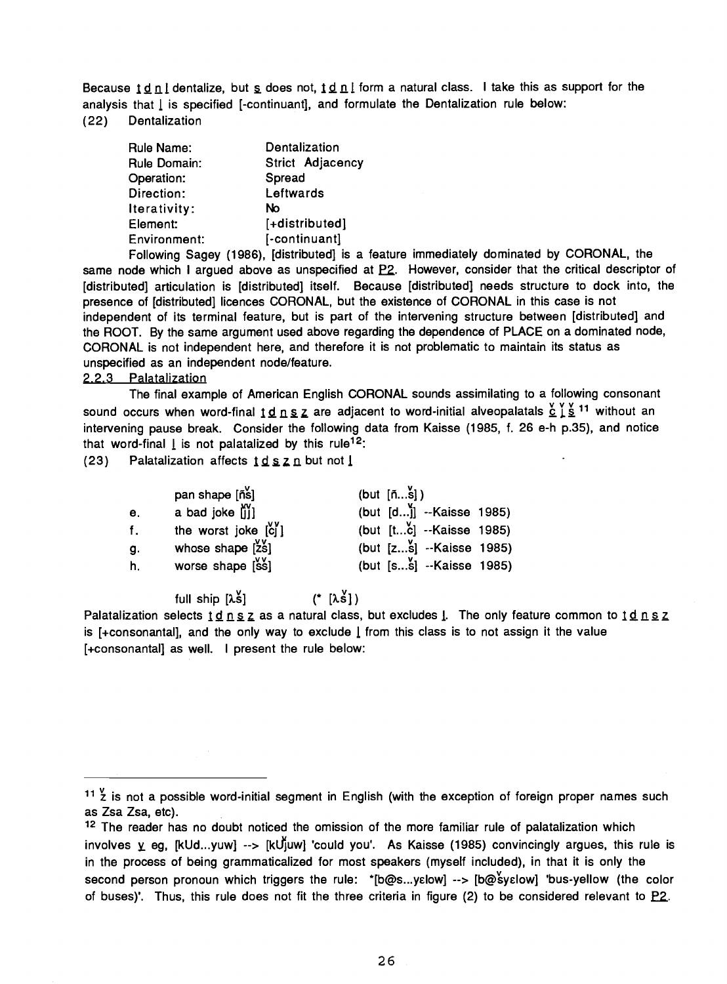Because  $1 \not\perp n$  i dentalize, but  $\underline{s}$  does not,  $1 \not\perp n$  i form a natural class. I take this as support for the analysis that  $\lfloor$  is specified  $\lfloor$ -continuant $\rfloor$ , and formulate the Dentalization rule below: (22) Dentalization

| Rule Name:   | Dentalization    |  |
|--------------|------------------|--|
| Rule Domain: | Strict Adjacency |  |
| Operation:   | Spread           |  |
| Direction:   | Leftwards        |  |
| Iterativity: | No               |  |
| Element:     | [+distributed]   |  |
| Environment: | [-continuant]    |  |

Following Sagey (1986), [distributed] is a feature immediately dominated by CORONAL, the same node which I argued above as unspecified at  $P2$ . However, consider that the critical descriptor of [distributed] articulation is [distributed] itself. Because [distributed] needs structure to dock into, the presence of [distributed] licences CORONAL, but the existence of CORONAL in this case is not independent of its terminal feature, but is part of the intervening structure between [distributed] and the ROOT. By the same argument used above regarding the dependence of PLACE on a dominated node, CORONAL is not independent here, and therefore it is not problematic to maintain its status as unspecified as an independent node/feature.

### 2.2.3 Palatalization

The final example of American English CORONAL sounds assimilating to a following consonant sound occurs when word-final  $1 \underline{d} n \underline{s} \underline{z}$  are adjacent to word-initial alveopalatals  $\underline{\underline{\acute{c}}} \underline{\acute{t}} \underline{\acute{s}}$ <sup>11</sup> without an intervening pause break. Consider the following data from Kaisse (1985, f. 26 e-h p.35), and notice that word-final  $\underline{I}$  is not palatalized by this rule<sup>12</sup>:

(23) Palatalization affects  $\underline{1} \underline{d} \underline{s} \underline{z} \underline{n}$  but not  $\underline{1}$ 

|                | pan shape [ñs]                                        | (but $[\tilde{n}\tilde{s}]$ ) |
|----------------|-------------------------------------------------------|-------------------------------|
| e <sub>1</sub> | a bad joke iil                                        | (but $[d]$ ] --Kaisse 1985)   |
| f.             | the worst joke $\begin{bmatrix} 0 \\ 0 \end{bmatrix}$ | (but [tc] --Kaisse 1985)      |
| g.             | whose shape $[2s]$                                    | (but $[zs]$ --Kaisse 1985)    |
| h.             | worse shape $[ss]$                                    | (but [ss] --Kaisse 1985)      |

full ship  $[\lambda \xi]$  (\*  $[\lambda \xi]$ )

Palatalization selects  $\underline{1}\underline{d}$   $\underline{n}$   $\underline{s}$   $\underline{z}$  as a natural class, but excludes  $\underline{l}$ . The only feature common to  $\underline{1}\underline{d}$   $\underline{n}$   $\underline{s}$   $\underline{z}$ is [+consonantal], and the only way to exclude  $\lfloor$  from this class is to not assign it the value [ +consonantal] as well. I present the rule below:

 $11 \frac{v}{2}$  is not a possible word-initial segment in English (with the exception of foreign proper names such as Zsa Zsa, etc).

<sup>&</sup>lt;sup>12</sup> The reader has no doubt noticed the omission of the more familiar rule of palatalization which involves  $\gamma$  eg, [kUd...yuw] --> [kU[uw] 'could you'. As Kaisse (1985) convincingly argues, this rule is in the process of being grammaticalized for most speakers (myself included), in that it is only the second person pronoun which triggers the rule: \*[b@s...yelow] --> [b@syelow] 'bus-yellow (the color of buses)'. Thus, this rule does not fit the three criteria in figure (2) to be considered relevant to  $P2$ .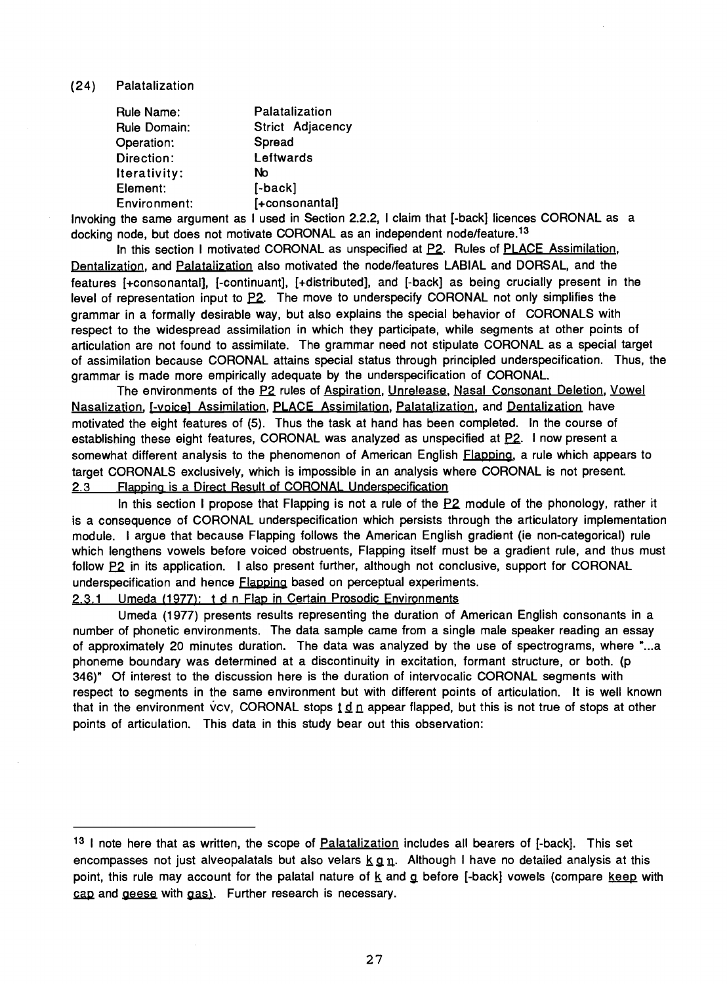#### (24) Palatalization

| Rule Name:   | Palatalization   |  |
|--------------|------------------|--|
| Rule Domain: | Strict Adjacency |  |
| Operation:   | Spread           |  |
| Direction:   | Leftwards        |  |
| Iterativity: | No               |  |
| Element:     | $[-back]$        |  |
| Environment: | [+consonantal]   |  |

Invoking the same argument as I used in Section 2.2.2, I claim that [ -back] licences CORONAL as a docking node, but does not motivate CORONAL as an independent node/feature.<sup>13</sup>

In this section I motivated CORONAL as unspecified at  $P2$ . Rules of  $PLACE$  Assimilation, Dentalization, and Palatalization also motivated the node/features LABIAL and DORSAL, and the features [+consonantal], [-continuant], [+distributed], and [-back] as being crucially present in the level of representation input to P2. The move to underspecify CORONAL not only simplifies the grammar in a formally desirable way, but also explains the special behavior of CORONALS with respect to the widespread assimilation in which they participate, while segments at other points of articulation are not found to assimilate. The grammar need not stipulate CORONAL as a special target of assimilation because CORONAL attains special status through principled underspecification. Thus, the grammar is made more empirically adequate by the underspecification of CORONAL.

The environments of the E2 rules of Aspiration, Unrelease, Nasal Consonant Deletion, Vowel Nasalization, [-voice] Assimilation, PLACE Assimilation, Palatalization, and Dentalization have motivated the eight features of (5). Thus the task at hand has been completed. In the course of establishing these eight features, CORONAL was analyzed as unspecified at P2. I now present a somewhat different analysis to the phenomenon of American English Flapping, a rule which appears to target CORONALS exclusively, which is impossible in an analysis where CORONAL is not present. 2.3 Flapping is a Direct Result of CORONAL Underspecification

In this section I propose that Flapping is not a rule of the P2 module of the phonology, rather it is a consequence of CORONAL underspecification which persists through the articulatory implementation module. I argue that because Flapping follows the American English gradient (ie non -categorical) rule which lengthens vowels before voiced obstruents, Flapping itself must be a gradient rule, and thus must follow P2 in its application. I also present further, although not conclusive, support for CORONAL underspecification and hence **Flapping** based on perceptual experiments.

2.3.1 Umeda (1977): t d n Flap in Certain Prosodic Environments

Umeda (1977) presents results representing the duration of American English consonants in a number of phonetic environments. The data sample came from a single male speaker reading an essay of approximately 20 minutes duration. The data was analyzed by the use of spectrograms, where "...a phoneme boundary was determined at a discontinuity in excitation, formant structure, or both. (p 346)" Of interest to the discussion here is the duration of intervocalic CORONAL segments with respect to segments in the same environment but with different points of articulation. It is well known that in the environment vcv, CORONAL stops  $\underline{t} d \underline{n}$  appear flapped, but this is not true of stops at other points of articulation. This data in this study bear out this observation:

<sup>&</sup>lt;sup>13</sup> I note here that as written, the scope of **Palatalization** includes all bearers of [-back]. This set encompasses not just alveopalatals but also velars  $k \, q \, n$ . Although I have no detailed analysis at this point, this rule may account for the palatal nature of  $k$  and  $q$  before [-back] vowels (compare keep with cap and geese with gas). Further research is necessary.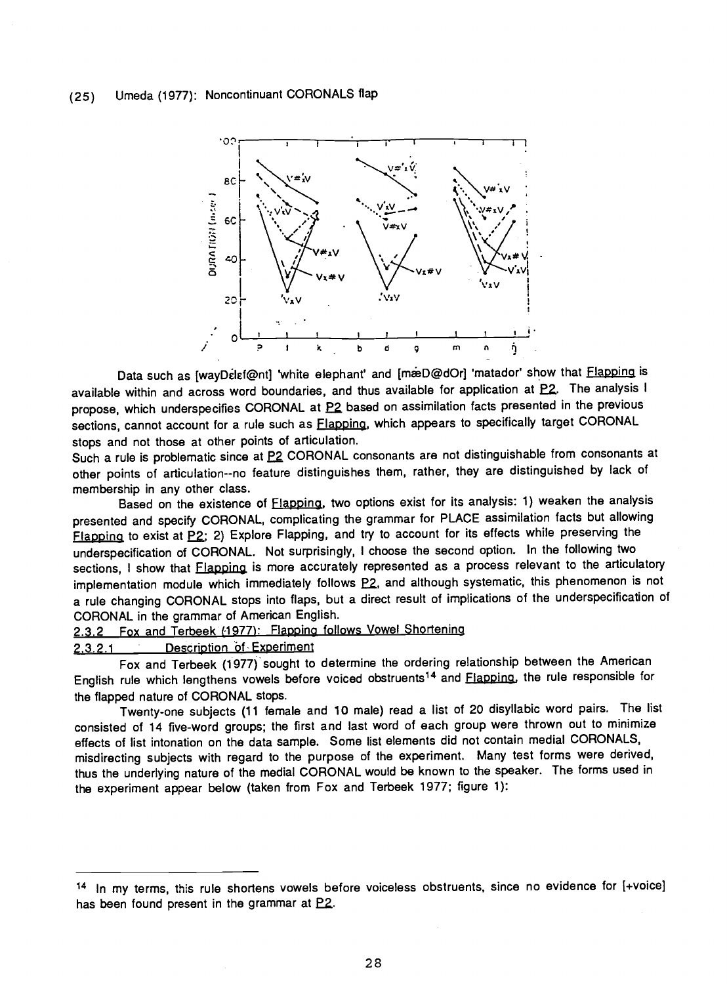

Data such as [wayDelef@nt] 'white elephant' and [m @D @dOr] 'matador' show that **Flapping** is available within and across word boundaries, and thus available for application at EZ. The analysis I propose, which underspecifies CORONAL at P2 based on assimilation facts presented in the previous sections, cannot account for a rule such as **Flapping**, which appears to specifically target CORONAL stops and not those at other points of articulation.

Such a rule is problematic since at P2 CORONAL consonants are not distinguishable from consonants at other points of articulation--no feature distinguishes them, rather, they are distinguished by lack of membership in any other class.

Based on the existence of Flapping, two options exist for its analysis: 1) weaken the analysis presented and specify CORONAL, complicating the grammar for PLACE assimilation facts but allowing Flapping to exist at P2; 2) Explore Flapping, and try to account for its effects while preserving the underspecification of CORONAL. Not surprisingly, I choose the second option. In the following two sections, I show that **Flapping** is more accurately represented as a process relevant to the articulatory implementation module which immediately follows  $P2$ , and although systematic, this phenomenon is not a rule changing CORONAL stops into flaps, but a direct result of implications of the underspecification of CORONAL in the grammar of American English.

2.3.2 Fox and Terbeek (1977): Flapping follows Vowel Shortening

### 2.3.2.1 Description Of Experiment

Fox and Terbeek (1977) sought to determine the ordering relationship between the American English rule which lengthens vowels before voiced obstruents14 and Flapping, the rule responsible for the flapped nature of CORONAL stops.

Twenty-one subjects (11 female and 10 male) read a list of 20 disyllabic word pairs. The list consisted of 14 five -word groups; the first and last word of each group were thrown out to minimize effects of list intonation on the data sample. Some list elements did not contain medial CORONALS, misdirecting subjects with regard to the purpose of the experiment. Many test forms were derived, thus the underlying nature of the medial CORONAL would be known to the speaker. The forms used in the experiment appear below (taken from Fox and Terbeek 1977; figure 1):

<sup>14</sup> In my terms, this rule shortens vowels before voiceless obstruents, since no evidence for [ +voice] has been found present in the grammar at  $P2$ .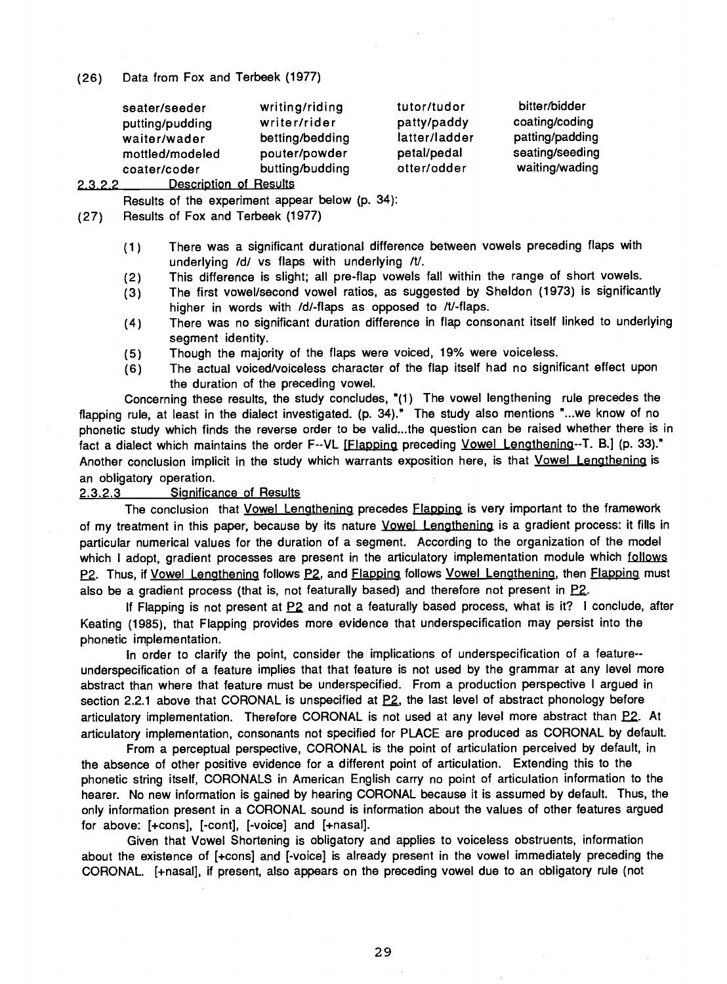(26) Data from Fox and Terbeek (1977)

| seater/seeder                    | writing/riding  | tutor/tudor   | bitter/bidder   |  |
|----------------------------------|-----------------|---------------|-----------------|--|
| putting/pudding                  | writer/rider    | patty/paddy   | coating/coding  |  |
| waiter/wader                     | betting/bedding | latter/ladder | patting/padding |  |
| mottled/modeled                  | pouter/powder   | petal/pedal   | seating/seeding |  |
| coater/coder                     | butting/budding | otter/odder   | waiting/wading  |  |
| Description of Desults<br>$\sim$ |                 |               |                 |  |

2.3.2.2 Description of Results

Results of the experiment appear below (p. 34):

(27) Results of Fox and Terbeek (1977)

- (1) There was a significant durational difference between vowels preceding flaps with underlying /d/ vs flaps with underlying /t/.
- (2) This difference is slight; all pre -flap vowels fall within the range of short vowels.
- (3) The first vowel/second vowel ratios, as suggested by Sheldon (1973) is significantly higher in words with /d/-flaps as opposed to  $/t$ /-flaps.
- (4) There was no significant duration difference in flap consonant itself linked to underlying segment identity.
- (5) Though the majority of the flaps were voiced, 19% were voiceless.
- (6) The actual voiced /voiceless character of the flap itself had no significant effect upon the duration of the preceding vowel.

Concerning these results, the study concludes, "(1) The vowel lengthening rule precedes the flapping rule, at least in the dialect investigated. (p. 34)." The study also mentions "...we know of no phonetic study which finds the reverse order to be valid...the question can be raised whether there is in fact a dialect which maintains the order F--VL [Flapping preceding Vowel Lengthening--T. B.] (p. 33)." Another conclusion implicit in the study which warrants exposition here, is that Vowel Lengthening is an obligatory operation.

#### 2.3.2.3 Significance of Results

The conclusion that Vowel Lengthening precedes Flapping is very important to the framework of my treatment in this paper, because by its nature *Vowel Lengthening* is a gradient process: it fills in particular numerical values for the duration of a segment. According to the organization of the model which I adopt, gradient processes are present in the articulatory implementation module which follows P2. Thus, if Vowel Lengthening follows P2, and Flapping follows Vowel Lengthening, then Flapping must also be a gradient process (that is, not featurally based) and therefore not present in  $P2$ .

If Flapping is not present at P2 and not a featurally based process, what is it? I conclude, after Keating (1985), that Flapping provides more evidence that underspecification may persist into the phonetic implementation.

In order to clarify the point, consider the implications of underspecification of a feature- underspecification of a feature implies that that feature is not used by the grammar at any level more abstract than where that feature must be underspecified. From a production perspective I argued in section 2.2.1 above that CORONAL is unspecified at  $P2$ , the last level of abstract phonology before articulatory implementation. Therefore CORONAL is not used at any level more abstract than  $P2$ . At articulatory implementation, consonants not specified for PLACE are produced as CORONAL by default.

From a perceptual perspective, CORONAL is the point of articulation perceived by default, in the absence of other positive evidence for a different point of articulation. Extending this to the phonetic string itself, CORONALS in American English carry no point of articulation information to the hearer. No new information is gained by hearing CORONAL because it is assumed by default. Thus, the only information present in a CORONAL sound is information about the values of other features argued for above: [+cons], [-cont], [-voice] and [+nasal].

Given that Vowel Shortening is obligatory and applies to voiceless obstruents, information about the existence of [+cons] and [-voice] is already present in the vowel immediately preceding the CORONAL. [ +nasal], if present, also appears on the preceding vowel due to an obligatory rule (not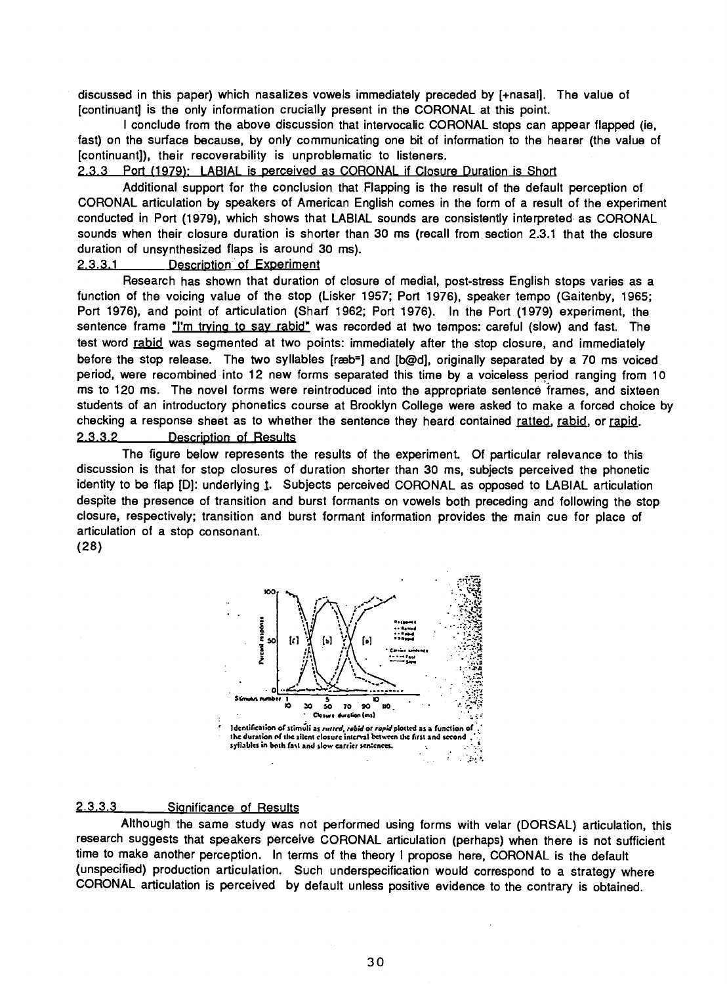discussed in this paper) which nasalizes vowels immediately preceded by [ +nasal]. The value of [continuant] is the only information crucially present in the CORONAL at this point.

I conclude from the above discussion that intervocalic CORONAL stops can appear flapped (ie, fast) on the surface because, by only communicating one bit of information to the hearer (the value of [continuant]), their recoverability is unproblematic to listeners.

#### 2.3.3 Port (1979): LABIAL is perceived as CORONAL if Closure Duration is Short

Additional support for the conclusion that Flapping is the result of the default perception of CORONAL articulation by speakers of American English comes in the form of a result of the experiment conducted in Port (1979), which shows that LABIAL sounds are consistently interpreted as CORONAL sounds when their closure duration is shorter than 30 ms (recall from section 2.3.1 that the closure duration of unsynthesized flaps is around 30 ms).

# 2.3.3.1 Description of Experiment

Research has shown that duration of closure of medial, post- stress English stops varies as a function of the voicing value of the stop (Lisker 1957; Port 1976), speaker tempo (Gaitenby, 1965; Port 1976), and point of articulation (Sharf 1962; Port 1976). In the Port (1979) experiment, the sentence frame "I'm trying to say rabid" was recorded at two tempos: careful (slow) and fast. The test word rabid was segmented at two points: immediately after the stop closure, and immediately before the stop release. The two syllables [ræb=] and [b@d], originally separated by a 70 ms voiced period, were recombined into 12 new forms separated this time by a voiceless period ranging from 10 ms to 120 ms. The novel forms were reintroduced into the appropriate sentencé frames, and sixteen students of an introductory phonetics course at Brooklyn College were asked to make a forced choice by checking a response sheet as to whether the sentence they heard contained ratted, rabid, or rapid. 2.3.3.2 Description of Results

The figure below represents the results of the experiment. Of particular relevance to this discussion is that for stop closures of duration shorter than 30 ms, subjects perceived the phonetic identity to be flap [D]: underlying 1. Subjects perceived CORONAL as opposed to LABIAL articulation despite the presence of transition and burst formants on vowels both preceding and following the stop closure, respectively; transition and burst formant information provides the main cue for place of articulation of a stop consonant.

(28)



### 2.3.3.3 Significance of Results

Although the same study was not performed using forms with velar (DORSAL) articulation, this research suggests that speakers perceive CORONAL articulation (perhaps) when there is not sufficient time to make another perception. In terms of the theory I propose here, CORONAL is the default (unspecified) production articulation. Such underspecification would correspond to a strategy where CORONAL articulation is perceived by default unless positive evidence to the contrary is obtained.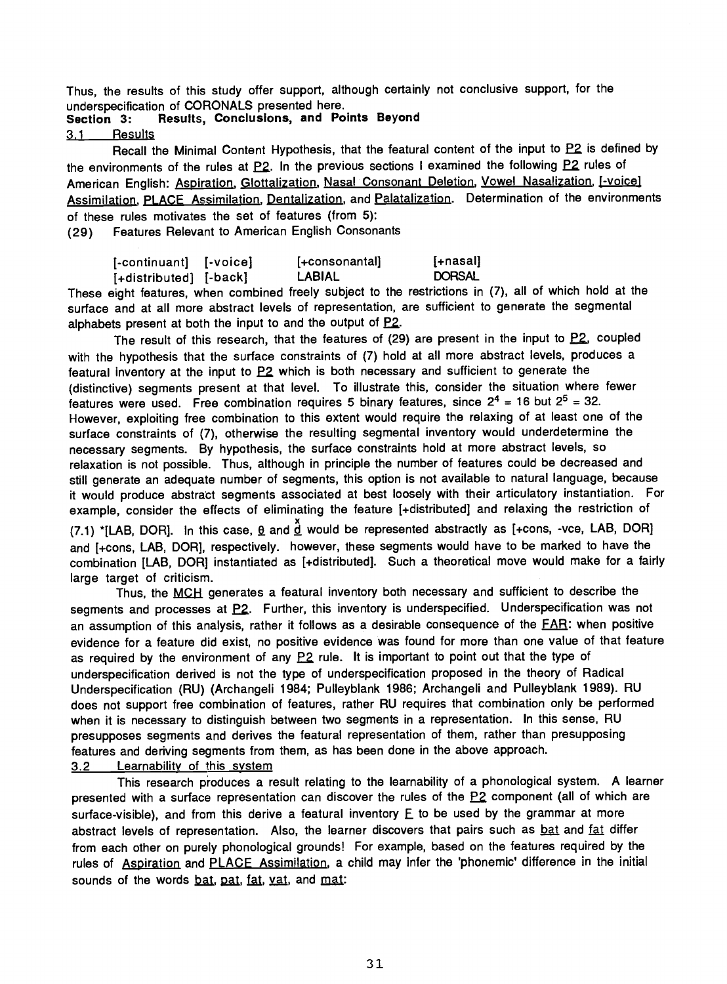Thus, the results of this study offer support, although certainly not conclusive support, for the

# Section 3: Results, Conclusions, and Points Beyond

3.1 Results

Recall the Minimal Content Hypothesis, that the featural content of the input to P2 is defined by the environments of the rules at  $P2$ . In the previous sections I examined the following  $P2$  rules of American English: Aspiration, Glottalization, Nasal Consonant Deletion, Vowel Nasalization, [-voice] Assimilation, PLACE Assimilation, Dentalization, and Palatalization. Determination of the environments of these rules motivates the set of features (from 5):

(29) Features Relevant to American English Consonants

| [-continuant] [-voice] | $[+constant]$ | $[-\text{nasal}]$ |
|------------------------|---------------|-------------------|
| [+distributed] [-back] | LABIAL        | <b>DORSAL</b>     |

These eight features, when combined freely subject to the restrictions in (7), all of which hold at the surface and at all more abstract levels of representation, are sufficient to generate the segmental alphabets present at both the input to and the output of P2.

The result of this research, that the features of  $(29)$  are present in the input to  $P2$ , coupled with the hypothesis that the surface constraints of (7) hold at all more abstract levels, produces a featural inventory at the input to  $P2$  which is both necessary and sufficient to generate the (distinctive) segments present at that level. To illustrate this, consider the situation where fewer features were used. Free combination requires 5 binary features, since  $2^4 = 16$  but  $2^5 = 32$ . However, exploiting free combination to this extent would require the relaxing of at least one of the surface constraints of (7), otherwise the resulting segmental inventory would underdetermine the necessary segments. By hypothesis, the surface constraints hold at more abstract levels, so relaxation is not possible. Thus, although in principle the number of features could be decreased and still generate an adequate number of segments, this option is not available to natural language, because it would produce abstract segments associated at best loosely with their articulatory instantiation. For example, consider the effects of eliminating the feature [ +distributed] and relaxing the restriction of (7.1) \*[LAB, DOR]. In this case,  $\underline{\theta}$  and  $\underline{\tilde{\theta}}$  would be represented abstractly as [+cons, -vce, LAB, DOR] and [+cons, LAB, DOR], respectively. however, these segments would have to be marked to have the combination [LAB, DOR] instantiated as [ +distributed]. Such a theoretical move would make for a fairly

large target of criticism.

Thus, the MCH generates a featural inventory both necessary and sufficient to describe the segments and processes at P2. Further, this inventory is underspecified. Underspecification was not an assumption of this analysis, rather it follows as a desirable consequence of the FAR: when positive evidence for a feature did exist, no positive evidence was found for more than one value of that feature as required by the environment of any  $P2$  rule. It is important to point out that the type of underspecification derived is not the type of underspecification proposed in the theory of Radical Underspecification (RU) (Archangeli 1984; Pulleyblank 1986; Archangeli and Pulleyblank 1989). RU does not support free combination of features, rather RU requires that combination only be performed when it is necessary to distinguish between two segments in a representation. In this sense, RU presupposes segments and derives the featural representation of them, rather than presupposing features and deriving segments from them, as has been done in the above approach.

3.2 Learnability of this system

This research produces a result relating to the learnability of a phonological system. A learner presented with a surface representation can discover the rules of the P2 component (all of which are surface-visible), and from this derive a featural inventory  $E$  to be used by the grammar at more abstract levels of representation. Also, the learner discovers that pairs such as bat and fat differ from each other on purely phonological grounds! For example, based on the features required by the rules of Aspiration and PLACE Assimilation, a child may infer the 'phonemic' difference in the initial sounds of the words bat, pat, fat, yat, and mat: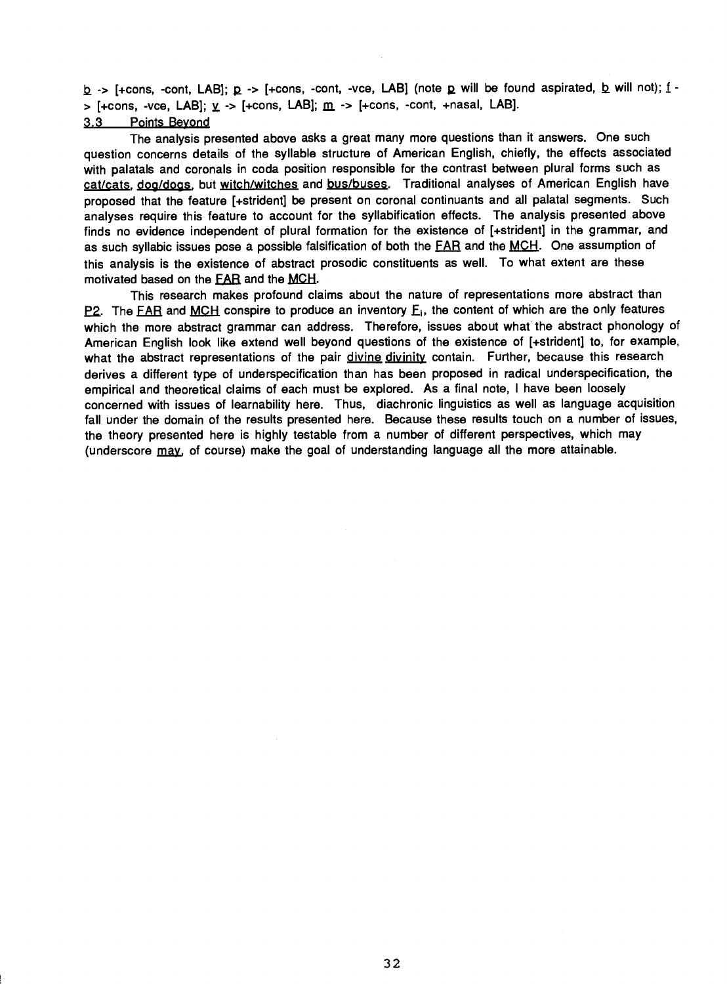$b$  -> [+cons, -cont, LAB];  $p$  -> [+cons, -cont, -vce, LAB] (note p will be found aspirated, b will not);  $f >$  [+cons, -vce, LAB];  $y \rightarrow$  [+cons, LAB];  $m \rightarrow$  [+cons, -cont, +nasal, LAB].

### 3.3 Points Beyond

The analysis presented above asks a great many more questions than it answers. One such question concerns details of the syllable structure of American English, chiefly, the effects associated with palatals and coronals in coda position responsible for the contrast between plural forms such as cat/cats, dog/dogs, but witch/witches and bus/buses. Traditional analyses of American English have proposed that the feature [+strident] be present on coronal continuants and all palatal segments. Such analyses require this feature to account for the syllabification effects. The analysis presented above finds no evidence independent of plural formation for the existence of [ +strident] in the grammar, and as such syllabic issues pose a possible falsification of both the FAR and the MCH. One assumption of this analysis is the existence of abstract prosodic constituents as well. To what extent are these motivated based on the **EAR** and the **MCH**.

This research makes profound claims about the nature of representations more abstract than P2. The FAR and MCH conspire to produce an inventory  $E_i$ , the content of which are the only features which the more abstract grammar can address. Therefore, issues about what the abstract phonology of American English look like extend well beyond questions of the existence of [+strident] to, for example, what the abstract representations of the pair divine divinity contain. Further, because this research derives a different type of underspecification than has been proposed in radical underspecification, the empirical and theoretical claims of each must be explored. As a final note, I have been loosely concerned with issues of learnability here. Thus, diachronic linguistics as well as language acquisition fall under the domain of the results presented here. Because these results touch on a number of issues, the theory presented here is highly testable from a number of different perspectives, which may (underscore may, of course) make the goal of understanding language all the more attainable.